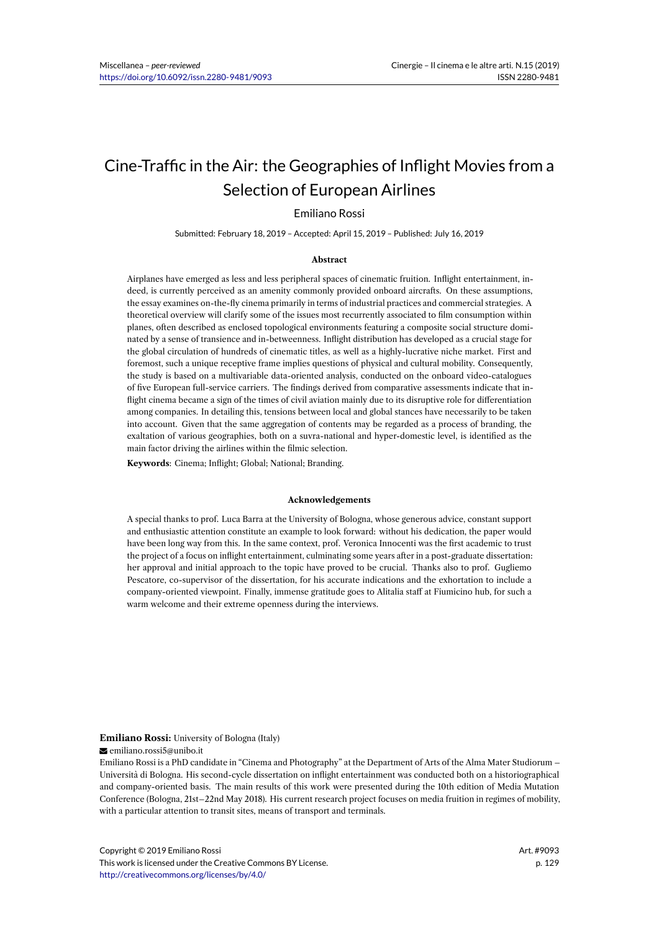# Cine-Traffic in the Air: the Geographies of Inflight Movies from a Selection of European Airlines

## Emiliano Rossi

Submitted: February 18, 2019 – Accepted: April 15, 2019 – Published: July 16, 2019

#### **Abstract**

Airplanes have emerged as less and less peripheral spaces of cinematic fruition. Inflight entertainment, indeed, is currently perceived as an amenity commonly provided onboard aircrafts. On these assumptions, the essay examines on-the-fly cinema primarily in terms of industrial practices and commercial strategies. A theoretical overview will clarify some of the issues most recurrently associated to film consumption within planes, often described as enclosed topological environments featuring a composite social structure dominated by a sense of transience and in-betweenness. Inflight distribution has developed as a crucial stage for the global circulation of hundreds of cinematic titles, as well as a highly-lucrative niche market. First and foremost, such a unique receptive frame implies questions of physical and cultural mobility. Consequently, the study is based on a multivariable data-oriented analysis, conducted on the onboard video-catalogues of five European full-service carriers. The findings derived from comparative assessments indicate that inflight cinema became a sign of the times of civil aviation mainly due to its disruptive role for differentiation among companies. In detailing this, tensions between local and global stances have necessarily to be taken into account. Given that the same aggregation of contents may be regarded as a process of branding, the exaltation of various geographies, both on a suvra-national and hyper-domestic level, is identified as the main factor driving the airlines within the filmic selection.

**Keywords**: Cinema; Inflight; Global; National; Branding.

#### **Acknowledgements**

A special thanks to prof. Luca Barra at the University of Bologna, whose generous advice, constant support and enthusiastic attention constitute an example to look forward: without his dedication, the paper would have been long way from this. In the same context, prof. Veronica Innocenti was the first academic to trust the project of a focus on inflight entertainment, culminating some years after in a post-graduate dissertation: her approval and initial approach to the topic have proved to be crucial. Thanks also to prof. Gugliemo Pescatore, co-supervisor of the dissertation, for his accurate indications and the exhortation to include a company-oriented viewpoint. Finally, immense gratitude goes to Alitalia staff at Fiumicino hub, for such a warm welcome and their extreme openness during the interviews.

#### **Emiliano Rossi:** University of Bologna (Italy)

emiliano.rossi5@unibo.it

Emiliano Rossi is a PhD candidate in "Cinema and Photography" at the Department of Arts of the Alma Mater Studiorum – Università di Bologna. His second-cycle dissertation on inflight entertainment was conducted both on a historiographical and company-oriented basis. The main results of this work were presented during the 10th edition of Media Mutation Conference (Bologna, 21st–22nd May 2018). His current research project focuses on media fruition in regimes of mobility, with a particular attention to transit sites, means of transport and terminals.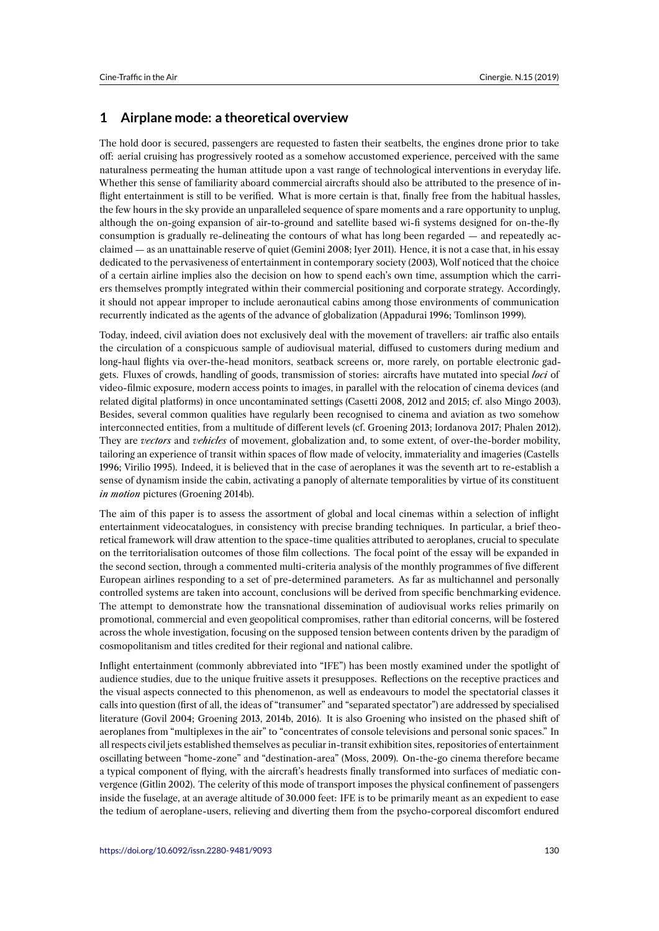## **1 Airplane mode: a theoretical overview**

The hold door is secured, passengers are requested to fasten their seatbelts, the engines drone prior to take off: aerial cruising has progressively rooted as a somehow accustomed experience, perceived with the same naturalness permeating the human attitude upon a vast range of technological interventions in everyday life. Whether this sense of familiarity aboard commercial aircrafts should also be attributed to the presence of inflight entertainment is still to be verified. What is more certain is that, finally free from the habitual hassles, the few hours in the sky provide an unparalleled sequence of spare moments and a rare opportunity to unplug, although the on-going expansion of air-to-ground and satellite based wi-fi systems designed for on-the-fly consumption is gradually re-delineating the contours of what has long been regarded — and repeatedly acclaimed — as an unattainable reserve of quiet (Gemini 2008; Iyer 2011). Hence, it is not a case that, in his essay dedicated to the pervasiveness of entertainment in contemporary society (2003), Wolf noticed that the choice of a certain airline implies also the decision on how to spend each's own time, assumption which the carriers themselves promptly integrated within their commercial positioning and corporate strategy. Accordingly, it should not appear improper to include aeronautical cabins among those environments of communication recurrently indicated as the agents of the advance of globalization (Appadurai 1996; Tomlinson 1999).

Today, indeed, civil aviation does not exclusively deal with the movement of travellers: air traffic also entails the circulation of a conspicuous sample of audiovisual material, diffused to customers during medium and long-haul flights via over-the-head monitors, seatback screens or, more rarely, on portable electronic gadgets. Fluxes of crowds, handling of goods, transmission of stories: aircrafts have mutated into special *loci* of video-filmic exposure, modern access points to images, in parallel with the relocation of cinema devices (and related digital platforms) in once uncontaminated settings (Casetti 2008, 2012 and 2015; cf. also Mingo 2003). Besides, several common qualities have regularly been recognised to cinema and aviation as two somehow interconnected entities, from a multitude of different levels (cf. Groening 2013; Iordanova 2017; Phalen 2012). They are *vectors* and *vehicles* of movement, globalization and, to some extent, of over-the-border mobility, tailoring an experience of transit within spaces of flow made of velocity, immateriality and imageries (Castells 1996; Virilio 1995). Indeed, it is believed that in the case of aeroplanes it was the seventh art to re-establish a sense of dynamism inside the cabin, activating a panoply of alternate temporalities by virtue of its constituent *in motion* pictures (Groening 2014b).

The aim of this paper is to assess the assortment of global and local cinemas within a selection of inflight entertainment videocatalogues, in consistency with precise branding techniques. In particular, a brief theoretical framework will draw attention to the space-time qualities attributed to aeroplanes, crucial to speculate on the territorialisation outcomes of those film collections. The focal point of the essay will be expanded in the second section, through a commented multi-criteria analysis of the monthly programmes of five different European airlines responding to a set of pre-determined parameters. As far as multichannel and personally controlled systems are taken into account, conclusions will be derived from specific benchmarking evidence. The attempt to demonstrate how the transnational dissemination of audiovisual works relies primarily on promotional, commercial and even geopolitical compromises, rather than editorial concerns, will be fostered across the whole investigation, focusing on the supposed tension between contents driven by the paradigm of cosmopolitanism and titles credited for their regional and national calibre.

Inflight entertainment (commonly abbreviated into "IFE") has been mostly examined under the spotlight of audience studies, due to the unique fruitive assets it presupposes. Reflections on the receptive practices and the visual aspects connected to this phenomenon, as well as endeavours to model the spectatorial classes it calls into question (first of all, the ideas of "transumer" and "separated spectator") are addressed by specialised literature (Govil 2004; Groening 2013, 2014b, 2016). It is also Groening who insisted on the phased shift of aeroplanes from "multiplexes in the air" to "concentrates of console televisions and personal sonic spaces." In all respects civil jets established themselves as peculiar in-transit exhibition sites, repositories of entertainment oscillating between "home-zone" and "destination-area" (Moss, 2009). On-the-go cinema therefore became a typical component of flying, with the aircraft's headrests finally transformed into surfaces of mediatic convergence (Gitlin 2002). The celerity of this mode of transport imposes the physical confinement of passengers inside the fuselage, at an average altitude of 30.000 feet: IFE is to be primarily meant as an expedient to ease the tedium of aeroplane-users, relieving and diverting them from the psycho-corporeal discomfort endured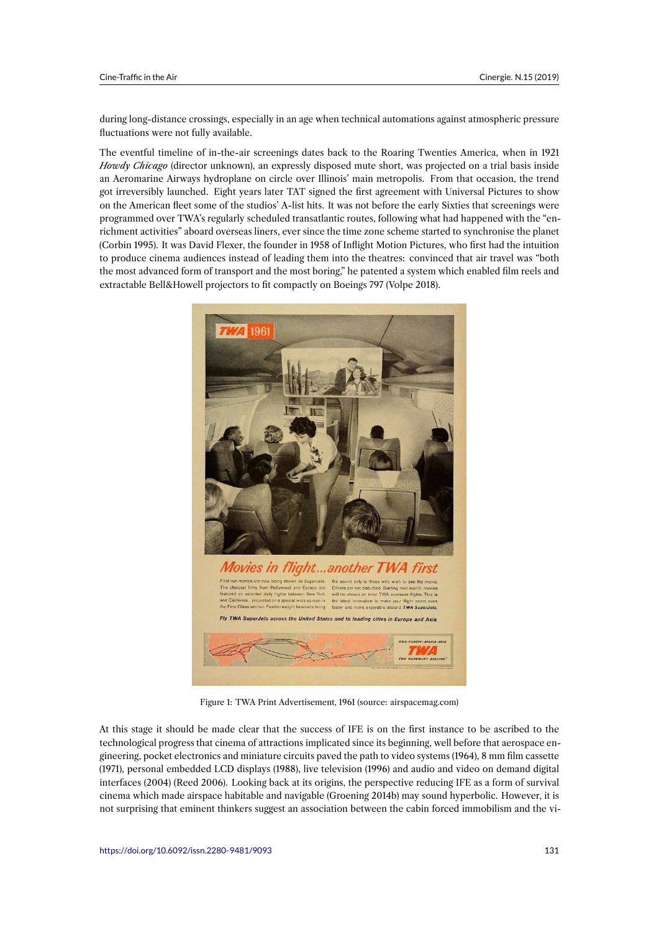during long-distance crossings, especially in an age when technical automations against atmospheric pressure fluctuations were not fully available.

The eventful timeline of in-the-air screenings dates back to the Roaring Twenties America, when in 1921 *Howdy Chicago* (director unknown), an expressly disposed mute short, was projected on a trial basis inside an Aeromarine Airways hydroplane on circle over Illinois' main metropolis. From that occasion, the trend got irreversibly launched. Eight years later TAT signed the first agreement with Universal Pictures to show on the American fleet some of the studios' A-list hits. It was not before the early Sixties that screenings were programmed over TWA's regularly scheduled transatlantic routes, following what had happened with the "enrichment activities" aboard overseas liners, ever since the time zone scheme started to synchronise the planet (Corbin 1995). It was David Flexer, the founder in 1958 of Inflight Motion Pictures, who first had the intuition to produce cinema audiences instead of leading them into the theatres: convinced that air travel was "both the most advanced form of transport and the most boring," he patented a system which enabled film reels and extractable Bell&Howell projectors to fit compactly on Boeings 797 (Volpe 2018).



Figure 1: TWA Print Advertisement, 1961 (source: airspacemag.com)

At this stage it should be made clear that the success of IFE is on the first instance to be ascribed to the technological progress that cinema of attractions implicated since its beginning, well before that aerospace engineering, pocket electronics and miniature circuits paved the path to video systems (1964), 8 mm film cassette (1971), personal embedded LCD displays (1988), live television (1996) and audio and video on demand digital interfaces (2004) (Reed 2006). Looking back at its origins, the perspective reducing IFE as a form of survival cinema which made airspace habitable and navigable (Groening 2014b) may sound hyperbolic. However, it is not surprising that eminent thinkers suggest an association between the cabin forced immobilism and the vi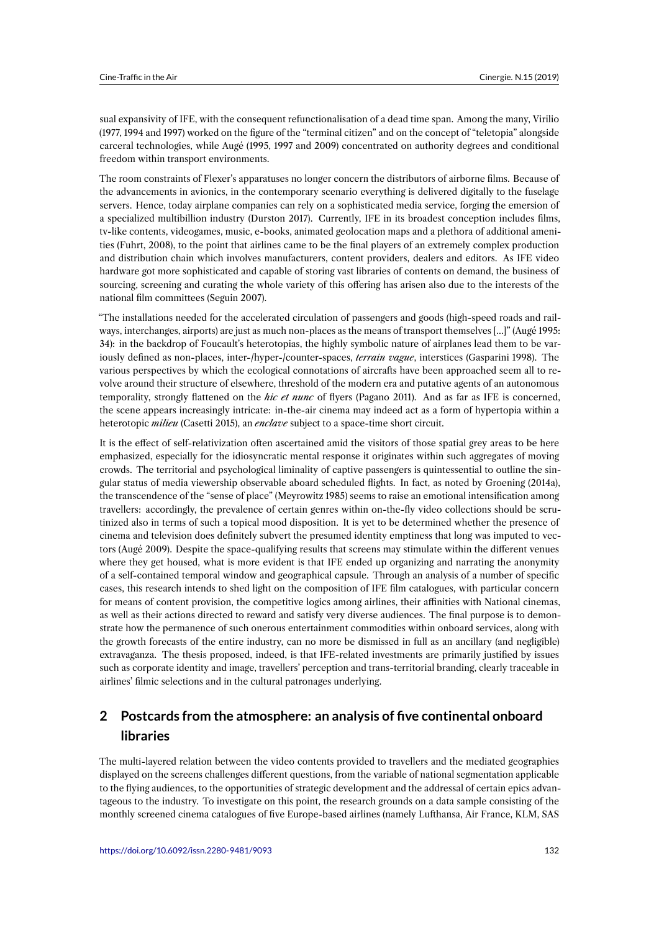sual expansivity of IFE, with the consequent refunctionalisation of a dead time span. Among the many, Virilio (1977, 1994 and 1997) worked on the figure of the "terminal citizen" and on the concept of "teletopia" alongside carceral technologies, while Augé (1995, 1997 and 2009) concentrated on authority degrees and conditional freedom within transport environments.

The room constraints of Flexer's apparatuses no longer concern the distributors of airborne films. Because of the advancements in avionics, in the contemporary scenario everything is delivered digitally to the fuselage servers. Hence, today airplane companies can rely on a sophisticated media service, forging the emersion of a specialized multibillion industry (Durston 2017). Currently, IFE in its broadest conception includes films, tv-like contents, videogames, music, e-books, animated geolocation maps and a plethora of additional amenities (Fuhrt, 2008), to the point that airlines came to be the final players of an extremely complex production and distribution chain which involves manufacturers, content providers, dealers and editors. As IFE video hardware got more sophisticated and capable of storing vast libraries of contents on demand, the business of sourcing, screening and curating the whole variety of this offering has arisen also due to the interests of the national film committees (Seguin 2007).

"The installations needed for the accelerated circulation of passengers and goods (high-speed roads and railways, interchanges, airports) are just as much non-places as the means of transport themselves […]" (Augé 1995: 34): in the backdrop of Foucault's heterotopias, the highly symbolic nature of airplanes lead them to be variously defined as non-places, inter-/hyper-/counter-spaces, *terrain vague*, interstices (Gasparini 1998). The various perspectives by which the ecological connotations of aircrafts have been approached seem all to revolve around their structure of elsewhere, threshold of the modern era and putative agents of an autonomous temporality, strongly flattened on the *hic et nunc* of flyers (Pagano 2011). And as far as IFE is concerned, the scene appears increasingly intricate: in-the-air cinema may indeed act as a form of hypertopia within a heterotopic *milieu* (Casetti 2015), an *enclave* subject to a space-time short circuit.

It is the effect of self-relativization often ascertained amid the visitors of those spatial grey areas to be here emphasized, especially for the idiosyncratic mental response it originates within such aggregates of moving crowds. The territorial and psychological liminality of captive passengers is quintessential to outline the singular status of media viewership observable aboard scheduled flights. In fact, as noted by Groening (2014a), the transcendence of the "sense of place" (Meyrowitz 1985) seems to raise an emotional intensification among travellers: accordingly, the prevalence of certain genres within on-the-fly video collections should be scrutinized also in terms of such a topical mood disposition. It is yet to be determined whether the presence of cinema and television does definitely subvert the presumed identity emptiness that long was imputed to vectors (Augé 2009). Despite the space-qualifying results that screens may stimulate within the different venues where they get housed, what is more evident is that IFE ended up organizing and narrating the anonymity of a self-contained temporal window and geographical capsule. Through an analysis of a number of specific cases, this research intends to shed light on the composition of IFE film catalogues, with particular concern for means of content provision, the competitive logics among airlines, their affinities with National cinemas, as well as their actions directed to reward and satisfy very diverse audiences. The final purpose is to demonstrate how the permanence of such onerous entertainment commodities within onboard services, along with the growth forecasts of the entire industry, can no more be dismissed in full as an ancillary (and negligible) extravaganza. The thesis proposed, indeed, is that IFE-related investments are primarily justified by issues such as corporate identity and image, travellers' perception and trans-territorial branding, clearly traceable in airlines' filmic selections and in the cultural patronages underlying.

## **2 Postcards from the atmosphere: an analysis of five continental onboard libraries**

The multi-layered relation between the video contents provided to travellers and the mediated geographies displayed on the screens challenges different questions, from the variable of national segmentation applicable to the flying audiences, to the opportunities of strategic development and the addressal of certain epics advantageous to the industry. To investigate on this point, the research grounds on a data sample consisting of the monthly screened cinema catalogues of five Europe-based airlines (namely Lufthansa, Air France, KLM, SAS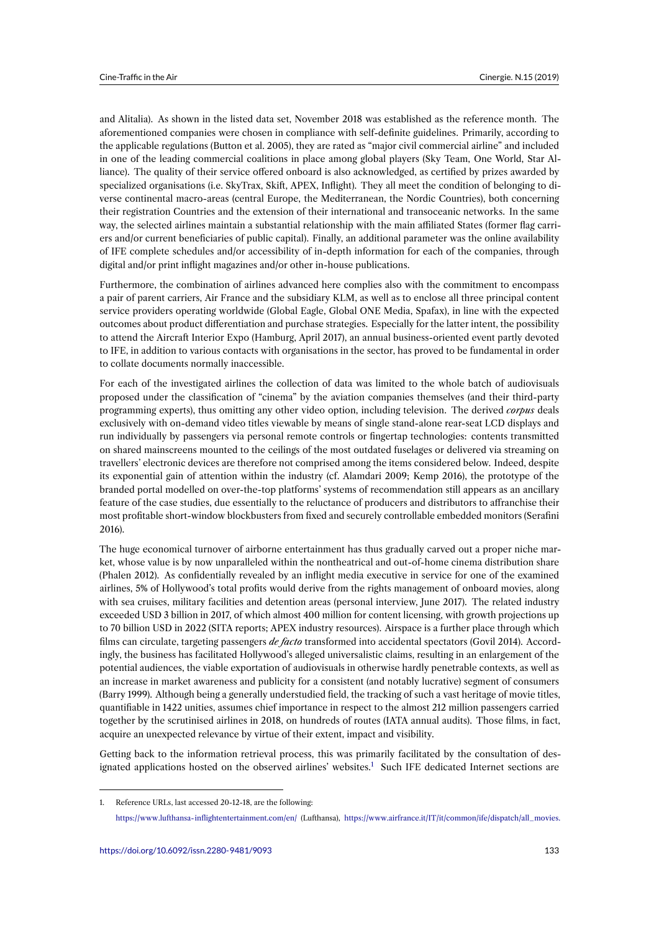and Alitalia). As shown in the listed data set, November 2018 was established as the reference month. The aforementioned companies were chosen in compliance with self-definite guidelines. Primarily, according to the applicable regulations (Button et al. 2005), they are rated as "major civil commercial airline" and included in one of the leading commercial coalitions in place among global players (Sky Team, One World, Star Alliance). The quality of their service offered onboard is also acknowledged, as certified by prizes awarded by specialized organisations (i.e. SkyTrax, Skift, APEX, Inflight). They all meet the condition of belonging to diverse continental macro-areas (central Europe, the Mediterranean, the Nordic Countries), both concerning their registration Countries and the extension of their international and transoceanic networks. In the same way, the selected airlines maintain a substantial relationship with the main affiliated States (former flag carriers and/or current beneficiaries of public capital). Finally, an additional parameter was the online availability of IFE complete schedules and/or accessibility of in-depth information for each of the companies, through digital and/or print inflight magazines and/or other in-house publications.

Furthermore, the combination of airlines advanced here complies also with the commitment to encompass a pair of parent carriers, Air France and the subsidiary KLM, as well as to enclose all three principal content service providers operating worldwide (Global Eagle, Global ONE Media, Spafax), in line with the expected outcomes about product differentiation and purchase strategies. Especially for the latter intent, the possibility to attend the Aircraft Interior Expo (Hamburg, April 2017), an annual business-oriented event partly devoted to IFE, in addition to various contacts with organisations in the sector, has proved to be fundamental in order to collate documents normally inaccessible.

For each of the investigated airlines the collection of data was limited to the whole batch of audiovisuals proposed under the classification of "cinema" by the aviation companies themselves (and their third-party programming experts), thus omitting any other video option, including television. The derived *corpus* deals exclusively with on-demand video titles viewable by means of single stand-alone rear-seat LCD displays and run individually by passengers via personal remote controls or fingertap technologies: contents transmitted on shared mainscreens mounted to the ceilings of the most outdated fuselages or delivered via streaming on travellers' electronic devices are therefore not comprised among the items considered below. Indeed, despite its exponential gain of attention within the industry (cf. Alamdari 2009; Kemp 2016), the prototype of the branded portal modelled on over-the-top platforms' systems of recommendation still appears as an ancillary feature of the case studies, due essentially to the reluctance of producers and distributors to affranchise their most profitable short-window blockbusters from fixed and securely controllable embedded monitors (Serafini 2016).

The huge economical turnover of airborne entertainment has thus gradually carved out a proper niche market, whose value is by now unparalleled within the nontheatrical and out-of-home cinema distribution share (Phalen 2012). As confidentially revealed by an inflight media executive in service for one of the examined airlines, 5% of Hollywood's total profits would derive from the rights management of onboard movies, along with sea cruises, military facilities and detention areas (personal interview, June 2017). The related industry exceeded USD 3 billion in 2017, of which almost 400 million for content licensing, with growth projections up to 70 billion USD in 2022 (SITA reports; APEX industry resources). Airspace is a further place through which films can circulate, targeting passengers *de facto* transformed into accidental spectators (Govil 2014). Accordingly, the business has facilitated Hollywood's alleged universalistic claims, resulting in an enlargement of the potential audiences, the viable exportation of audiovisuals in otherwise hardly penetrable contexts, as well as an increase in market awareness and publicity for a consistent (and notably lucrative) segment of consumers (Barry 1999). Although being a generally understudied field, the tracking of such a vast heritage of movie titles, quantifiable in 1422 unities, assumes chief importance in respect to the almost 212 million passengers carried together by the scrutinised airlines in 2018, on hundreds of routes (IATA annual audits). Those films, in fact, acquire an unexpected relevance by virtue of their extent, impact and visibility.

Getting back to the information retrieval process, this was primarily facilitated by the consultation of designated applications hosted on the observed airlines' websites.<sup>1</sup> Such IFE dedicated Internet sections are

<sup>1.</sup> Reference URLs, last accessed 20-12-18, are the following:

<span id="page-4-0"></span>https://www.lufthansa- inflightentertainment.com/en/ (Lufthansa), https://[w](#page-4-0)ww.airfrance.it/IT/it/common/ife/dispatch/all\_movies.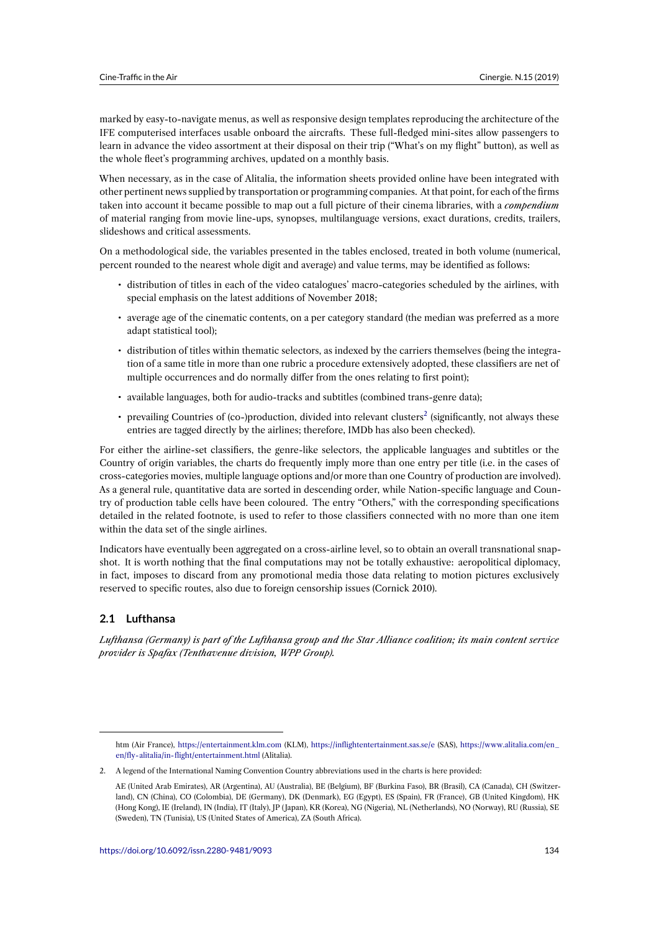marked by easy-to-navigate menus, as well as responsive design templates reproducing the architecture of the IFE computerised interfaces usable onboard the aircrafts. These full-fledged mini-sites allow passengers to learn in advance the video assortment at their disposal on their trip ("What's on my flight" button), as well as the whole fleet's programming archives, updated on a monthly basis.

When necessary, as in the case of Alitalia, the information sheets provided online have been integrated with other pertinent news supplied by transportation or programming companies. At that point, for each of the firms taken into account it became possible to map out a full picture of their cinema libraries, with a *compendium* of material ranging from movie line-ups, synopses, multilanguage versions, exact durations, credits, trailers, slideshows and critical assessments.

On a methodological side, the variables presented in the tables enclosed, treated in both volume (numerical, percent rounded to the nearest whole digit and average) and value terms, may be identified as follows:

- distribution of titles in each of the video catalogues' macro-categories scheduled by the airlines, with special emphasis on the latest additions of November 2018;
- average age of the cinematic contents, on a per category standard (the median was preferred as a more adapt statistical tool);
- distribution of titles within thematic selectors, as indexed by the carriers themselves (being the integration of a same title in more than one rubric a procedure extensively adopted, these classifiers are net of multiple occurrences and do normally differ from the ones relating to first point);
- available languages, both for audio-tracks and subtitles (combined trans-genre data);
- prevailing Countries of (co-)production, divided into relevant clusters<sup>2</sup> (significantly, not always these entries are tagged directly by the airlines; therefore, IMDb has also been checked).

For either the airline-set classifiers, the genre-like selectors, the applicable languages and subtitles or the Country of origin variables, the charts do frequently imply more than one e[n](#page-5-0)try per title (i.e. in the cases of cross-categories movies, multiple language options and/or more than one Country of production are involved). As a general rule, quantitative data are sorted in descending order, while Nation-specific language and Country of production table cells have been coloured. The entry "Others," with the corresponding specifications detailed in the related footnote, is used to refer to those classifiers connected with no more than one item within the data set of the single airlines.

Indicators have eventually been aggregated on a cross-airline level, so to obtain an overall transnational snapshot. It is worth nothing that the final computations may not be totally exhaustive: aeropolitical diplomacy, in fact, imposes to discard from any promotional media those data relating to motion pictures exclusively reserved to specific routes, also due to foreign censorship issues (Cornick 2010).

## **2.1 Lufthansa**

*Lufthansa (Germany) is part of the Lufthansa group and the Star Alliance coalition; its main content service provider is Spafax (Tenthavenue division, WPP Group).*

htm (Air France), https://entertainment.klm.com (KLM), https://inflightentertainment.sas.se/e (SAS), https://www.alitalia.com/en\_ en/fly-alitalia/in-flight/entertainment.html (Alitalia).

<sup>2.</sup> A legend of the International Naming Convention Country abbreviations used in the charts is here provided:

<span id="page-5-0"></span>AE (United Arab Emirates), AR (Argentina), AU (Australia), BE (Belgium), BF (Burkina Faso), BR (Brasil), CA (Canada), CH (Switzerland), CN (China), [CO \(Colombia\), DE \(Germany](https://entertainment.klm.com)), DK (D[enmark\), EG \(Egypt\), ES \(Spain\), FR](https://inflightentertainment.sas.se/e) (Franc[e\), GB \(United Kingdom\), HK](https://www.alitalia.com/en_en/fly-alitalia/in-flight/entertainment.html) [\(Hong Kong\), IE \(Ireland\), IN \(India\), IT \(Ita](https://www.alitalia.com/en_en/fly-alitalia/in-flight/entertainment.html)ly), JP ( Japan), KR (Korea), NG (Nigeria), NL (Netherlands), NO (Norway), RU (Russia), SE (Sweden), TN (Tunisia), US (United States of America), ZA (South Africa).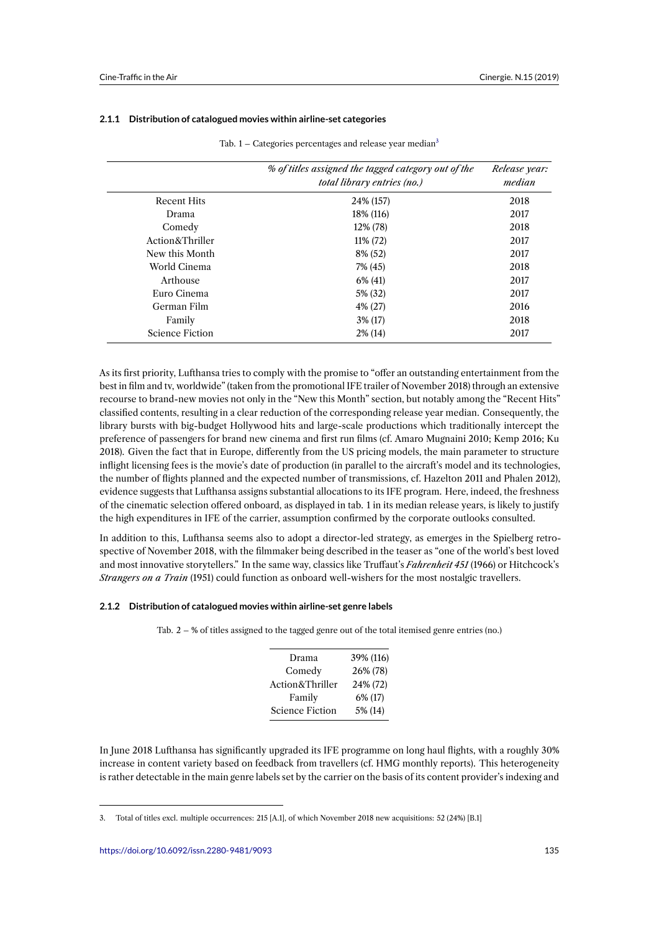#### **2.1.1 Distribution of catalogued movies within airline-set categories**

|                        | % of titles assigned the tagged category out of the<br><i>total library entries (no.)</i> | Release year:<br>median |
|------------------------|-------------------------------------------------------------------------------------------|-------------------------|
| <b>Recent Hits</b>     | 24\% (157)                                                                                | 2018                    |
| Drama                  | 18% (116)                                                                                 | 2017                    |
| Comedy                 | 12% (78)                                                                                  | 2018                    |
| Action&Thriller        | 11% (72)                                                                                  | 2017                    |
| New this Month         | 8% (52)                                                                                   | 2017                    |
| World Cinema           | 7% (45)                                                                                   | 2018                    |
| Arthouse               | $6\%$ (41)                                                                                | 2017                    |
| Euro Cinema            | 5% (32)                                                                                   | 2017                    |
| German Film            | 4% (27)                                                                                   | 2016                    |
| Family                 | $3\%$ (17)                                                                                | 2018                    |
| <b>Science Fiction</b> | $2\%$ (14)                                                                                | 2017                    |

Tab.  $1 -$  Categories percentages and release year median<sup>3</sup>

As its first priority, Lufthansa tries to comply with the promise to "offer an outstanding entertainment from the best in film and tv, worldwide" (taken from the promotional IFE trailer of November 2018) through an extensive recourse to brand-new movies not only in the "New this Month" section, but notably among the "Recent Hits" classified contents, resulting in a clear reduction of the corresponding release year median. Consequently, the library bursts with big-budget Hollywood hits and large-scale productions which traditionally intercept the preference of passengers for brand new cinema and first run films (cf. Amaro Mugnaini 2010; Kemp 2016; Ku 2018). Given the fact that in Europe, differently from the US pricing models, the main parameter to structure inflight licensing fees is the movie's date of production (in parallel to the aircraft's model and its technologies, the number of flights planned and the expected number of transmissions, cf. Hazelton 2011 and Phalen 2012), evidence suggests that Lufthansa assigns substantial allocations to its IFE program. Here, indeed, the freshness of the cinematic selection offered onboard, as displayed in tab. 1 in its median release years, is likely to justify the high expenditures in IFE of the carrier, assumption confirmed by the corporate outlooks consulted.

In addition to this, Lufthansa seems also to adopt a director-led strategy, as emerges in the Spielberg retrospective of November 2018, with the filmmaker being described in the teaser as "one of the world's best loved and most innovative storytellers." In the same way, classics like Truffaut's *Fahrenheit 451* (1966) or Hitchcock's *Strangers on a Train* (1951) could function as onboard well-wishers for the most nostalgic travellers.

#### **2.1.2 Distribution of catalogued movies within airline-set genre labels**

Tab. 2 – % of titles assigned to the tagged genre out of the total itemised genre entries (no.)

| Drama                  | 39% (116) |
|------------------------|-----------|
| Comedy                 | 26% (78)  |
| Action&Thriller        | 24% (72)  |
| Family                 | 6% (17)   |
| <b>Science Fiction</b> | 5% (14)   |

In June 2018 Lufthansa has significantly upgraded its IFE programme on long haul flights, with a roughly 30% increase in content variety based on feedback from travellers (cf. HMG monthly reports). This heterogeneity is rather detectable in the main genre labels set by the carrier on the basis of its content provider's indexing and

<sup>3.</sup> Total of titles excl. multiple occurrences: 215 [A.1], of which November 2018 new acquisitions: 52 (24%) [B.1]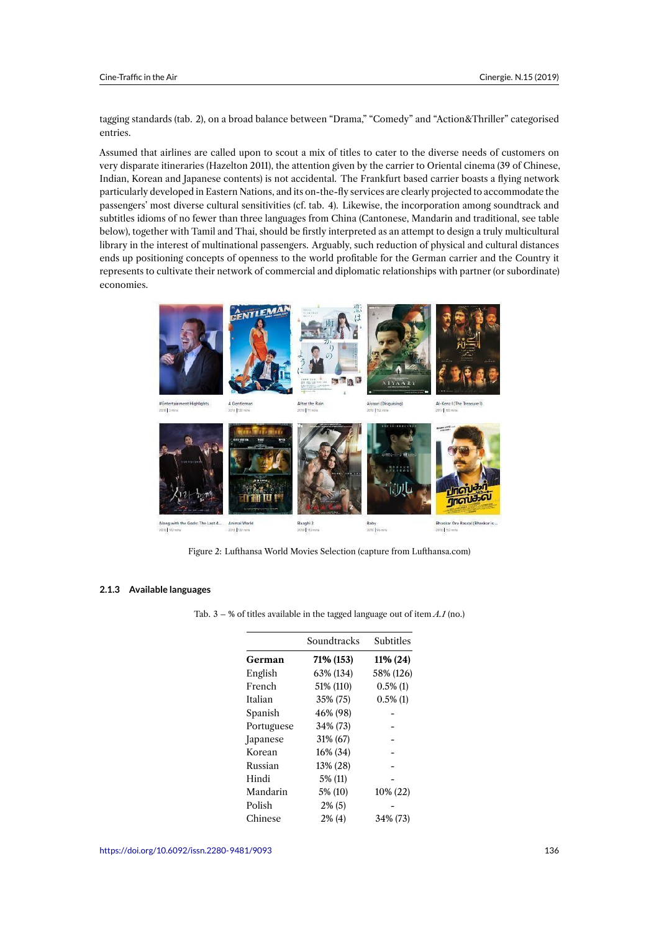tagging standards (tab. 2), on a broad balance between "Drama," "Comedy" and "Action&Thriller" categorised entries.

Assumed that airlines are called upon to scout a mix of titles to cater to the diverse needs of customers on very disparate itineraries (Hazelton 2011), the attention given by the carrier to Oriental cinema (39 of Chinese, Indian, Korean and Japanese contents) is not accidental. The Frankfurt based carrier boasts a flying network particularly developed in Eastern Nations, and its on-the-fly services are clearly projected to accommodate the passengers' most diverse cultural sensitivities (cf. tab. 4). Likewise, the incorporation among soundtrack and subtitles idioms of no fewer than three languages from China (Cantonese, Mandarin and traditional, see table below), together with Tamil and Thai, should be firstly interpreted as an attempt to design a truly multicultural library in the interest of multinational passengers. Arguably, such reduction of physical and cultural distances ends up positioning concepts of openness to the world profitable for the German carrier and the Country it represents to cultivate their network of commercial and diplomatic relationships with partner (or subordinate) economies.



Figure 2: Lufthansa World Movies Selection (capture from Lufthansa.com)

#### **2.1.3 Available languages**

Tab. 3 – % of titles available in the tagged language out of item *A.1* (no.)

|            | Soundtracks | Subtitles   |
|------------|-------------|-------------|
| German     | 71% (153)   | 11% (24)    |
| English    | 63% (134)   | 58% (126)   |
| French     | 51% (110)   | $0.5\%$ (1) |
| Italian    | 35% (75)    | $0.5\%$ (1) |
| Spanish    | 46% (98)    |             |
| Portuguese | 34% (73)    |             |
| Japanese   | 31% (67)    |             |
| Korean     | 16% (34)    |             |
| Russian    | 13% (28)    |             |
| Hindi      | 5% (11)     |             |
| Mandarin   | 5% (10)     | 10% (22)    |
| Polish     | $2\%$ (5)   |             |
| Chinese    | $2\%$ (4)   | 34% (73)    |
|            |             |             |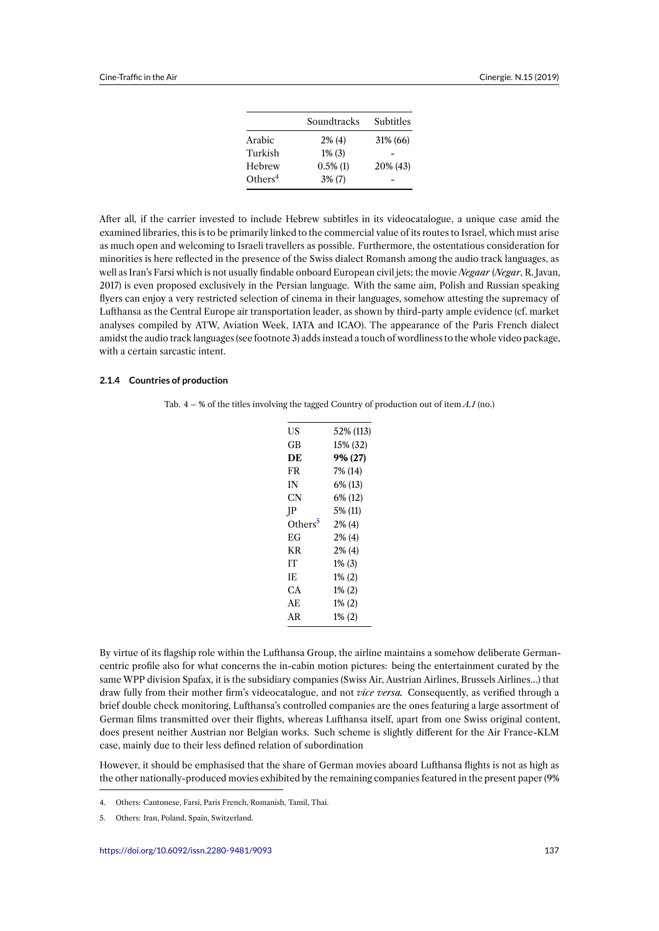|                     | Soundtracks | Subtitles |
|---------------------|-------------|-----------|
| Arabic              | $2\%$ (4)   | 31% (66)  |
| Turkish             | $1\%$ (3)   |           |
| Hebrew              | $0.5\%$ (1) | 20% (43)  |
| Others <sup>4</sup> | $3\%$ (7)   |           |

After all, if the carrier invested to include Hebrew subtitles in its videocatalogue, a unique case amid the examined libraries, this is to be primarilyl[in](#page-8-0)ked to the commercial value of its routes to Israel, which must arise as much open and welcoming to Israeli travellers as possible. Furthermore, the ostentatious consideration for minorities is here reflected in the presence of the Swiss dialect Romansh among the audio track languages, as well as Iran's Farsi which is not usually findable onboard European civil jets; the movie *Negaar* (*Negar*, R. Javan, 2017) is even proposed exclusively in the Persian language. With the same aim, Polish and Russian speaking flyers can enjoy a very restricted selection of cinema in their languages, somehow attesting the supremacy of Lufthansa as the Central Europe air transportation leader, as shown by third-party ample evidence (cf. market analyses compiled by ATW, Aviation Week, IATA and ICAO). The appearance of the Paris French dialect amidst the audio track languages (see footnote 3) adds instead a touch of wordliness to the whole video package, with a certain sarcastic intent.

#### **2.1.4 Countries of production**

| US                  | 52% (113) |
|---------------------|-----------|
| GВ                  | 15% (32)  |
| DE                  | 9% (27)   |
| FR                  | 7% (14)   |
| IN                  | 6% (13)   |
| CN                  | 6% (12)   |
| P                   | 5% (11)   |
| Others <sup>5</sup> | $2\%$ (4) |
| ЕG                  | $2\%$ (4) |
| <b>KR</b>           | $2\%$ (4) |
| IТ                  | $1\%$ (3) |
| IE                  | $1\% (2)$ |
| CА                  | $1\% (2)$ |
| АE                  | $1\% (2)$ |
| AR                  | 1% (2)    |
|                     |           |

By virtue of its flagship role within the Lufthansa Group, the airline maintains a somehow deliberate Germancentric profile also for what concerns the in-cabin motion pictures: being the entertainment curated by the same WPP division Spafax, it is the subsidiary companies (Swiss Air, Austrian Airlines, Brussels Airlines…) that draw fully from their mother firm's videocatalogue, and not *vice versa.* Consequently, as verified through a brief double check monitoring, Lufthansa's controlled companies are the ones featuring a large assortment of German films transmitted over their flights, whereas Lufthansa itself, apart from one Swiss original content, does present neither Austrian nor Belgian works. Such scheme is slightly different for the Air France-KLM case, mainly due to their less defined relation of subordination

However, it should be emphasised that the share of German movies aboard Lufthansa flights is not as high as the other nationally-produced movies exhibited by the remaining companies featured in the present paper (9%

<sup>4.</sup> Others: Cantonese, Farsi, Paris French, Romanish, Tamil, Thai.

<span id="page-8-0"></span><sup>5.</sup> Others: Iran, Poland, Spain, Switzerland.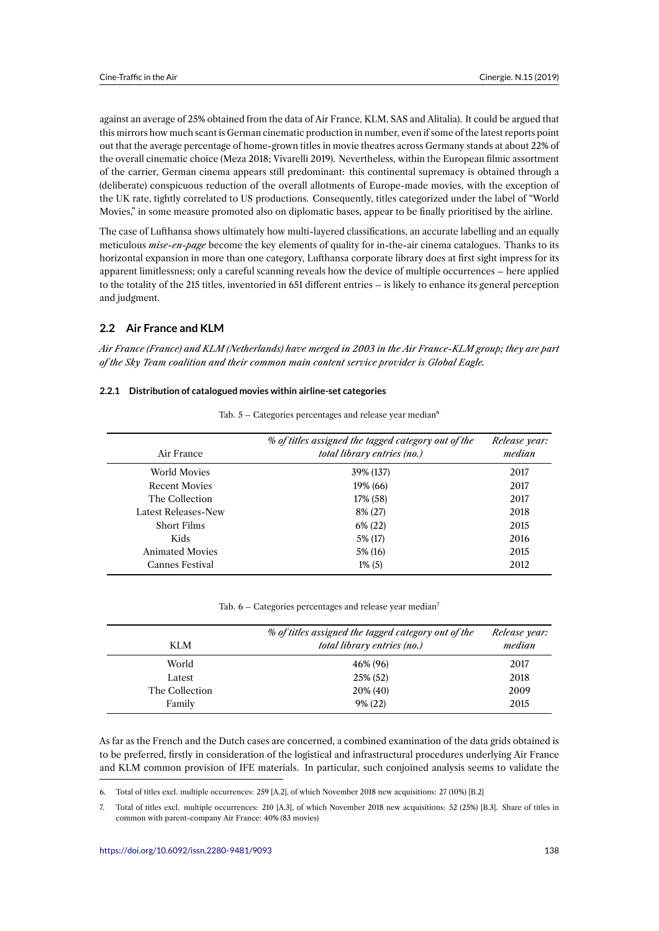against an average of 25% obtained from the data of Air France, KLM, SAS and Alitalia). It could be argued that this mirrors how much scant is German cinematic production in number, even if some of the latest reports point out that the average percentage of home-grown titles in movie theatres across Germany stands at about 22% of the overall cinematic choice (Meza 2018; Vivarelli 2019). Nevertheless, within the European filmic assortment of the carrier, German cinema appears still predominant: this continental supremacy is obtained through a (deliberate) conspicuous reduction of the overall allotments of Europe-made movies, with the exception of the UK rate, tightly correlated to US productions. Consequently, titles categorized under the label of "World Movies," in some measure promoted also on diplomatic bases, appear to be finally prioritised by the airline.

The case of Lufthansa shows ultimately how multi-layered classifications, an accurate labelling and an equally meticulous *mise-en-page* become the key elements of quality for in-the-air cinema catalogues. Thanks to its horizontal expansion in more than one category, Lufthansa corporate library does at first sight impress for its apparent limitlessness; only a careful scanning reveals how the device of multiple occurrences – here applied to the totality of the 215 titles, inventoried in 651 different entries – is likely to enhance its general perception and judgment.

## **2.2 Air France and KLM**

*Air France (France) and KLM (Netherlands) have merged in 2003 in the Air France-KLM group; they are part of the Sky Team coalition and their common main content service provider is Global Eagle.*

## **2.2.1 Distribution of catalogued movies within airline-set categories**

| Air France                 | % of titles assigned the tagged category out of the<br>total library entries (no.) | Release year:<br>median |
|----------------------------|------------------------------------------------------------------------------------|-------------------------|
| World Movies               | 39% (137)                                                                          | 2017                    |
| <b>Recent Movies</b>       | 19% (66)                                                                           | 2017                    |
| The Collection             | 17% (58)                                                                           | 2017                    |
| <b>Latest Releases-New</b> | 8% (27)                                                                            | 2018                    |
| <b>Short Films</b>         | $6\% (22)$                                                                         | 2015                    |
| Kids                       | 5% (17)                                                                            | 2016                    |
| <b>Animated Movies</b>     | 5% (16)                                                                            | 2015                    |
| Cannes Festival            | $1\%$ (5)                                                                          | 2012                    |

Tab.  $5 -$  Categories percentages and release year median $6$ 

Tab.  $6 -$  Categories percentages and release year median<sup>7</sup>

| KLM            | % of titles assigned the tagged category out of the<br>total library entries (no.) | Release year:<br>median |
|----------------|------------------------------------------------------------------------------------|-------------------------|
| World          | 46% (96)                                                                           | 2017                    |
| Latest         | 25% (52)                                                                           | 2018                    |
| The Collection | 20% (40)                                                                           | 2009                    |
| Family         | $9\% (22)$                                                                         | 2015                    |

As far as the French and the Dutch cases are concerned, a combined examination of the data grids obtained is to be preferred, firstly in consideration of the logistical and infrastructural procedures underlying Air France and KLM common provision of IFE materials. In particular, such conjoined analysis seems to validate the

<sup>6.</sup> Total of titles excl. multiple occurrences: 259 [A.2], of which November 2018 new acquisitions: 27 (10%) [B.2]

<sup>7.</sup> Total of titles excl. multiple occurrences: 210 [A.3], of which November 2018 new acquisitions: 52 (25%) [B.3]. Share of titles in common with parent-company Air France: 40% (83 movies)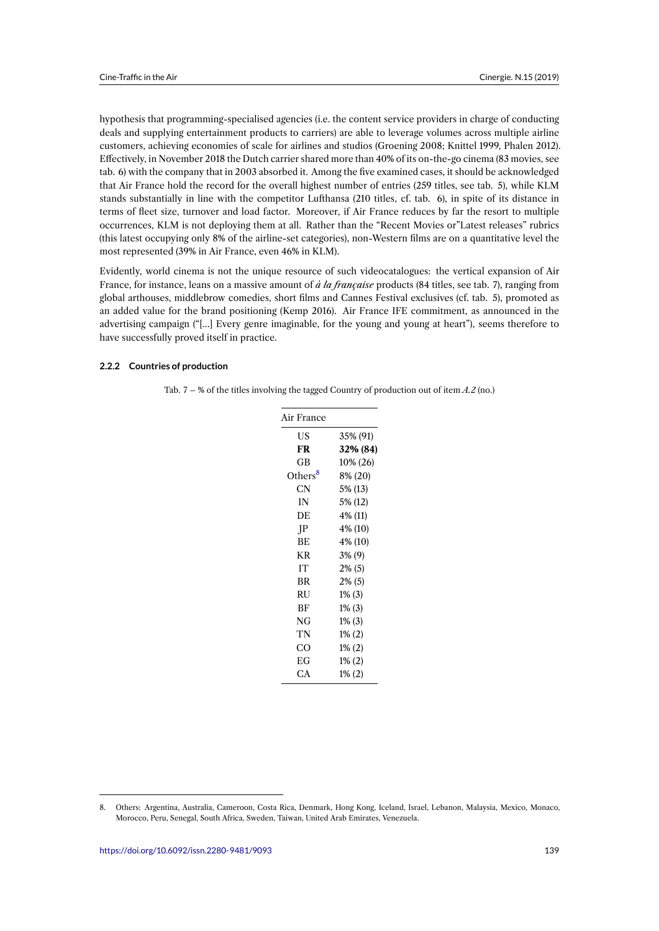hypothesis that programming-specialised agencies (i.e. the content service providers in charge of conducting deals and supplying entertainment products to carriers) are able to leverage volumes across multiple airline customers, achieving economies of scale for airlines and studios (Groening 2008; Knittel 1999, Phalen 2012). Effectively, in November 2018 the Dutch carrier shared more than 40% of its on-the-go cinema (83 movies, see tab. 6) with the company that in 2003 absorbed it. Among the five examined cases, it should be acknowledged that Air France hold the record for the overall highest number of entries (259 titles, see tab. 5), while KLM stands substantially in line with the competitor Lufthansa (210 titles, cf. tab. 6), in spite of its distance in terms of fleet size, turnover and load factor. Moreover, if Air France reduces by far the resort to multiple occurrences, KLM is not deploying them at all. Rather than the "Recent Movies or"Latest releases" rubrics (this latest occupying only 8% of the airline-set categories), non-Western films are on a quantitative level the most represented (39% in Air France, even 46% in KLM).

Evidently, world cinema is not the unique resource of such videocatalogues: the vertical expansion of Air France, for instance, leans on a massive amount of *à la française* products (84 titles, see tab. 7), ranging from global arthouses, middlebrow comedies, short films and Cannes Festival exclusives (cf. tab. 5), promoted as an added value for the brand positioning (Kemp 2016). Air France IFE commitment, as announced in the advertising campaign ("[…] Every genre imaginable, for the young and young at heart"), seems therefore to have successfully proved itself in practice.

#### **2.2.2 Countries of production**

|  |  | Tab. 7 – % of the titles involving the tagged Country of production out of item $A.2$ (no.) |  |  |  |  |  |
|--|--|---------------------------------------------------------------------------------------------|--|--|--|--|--|
|--|--|---------------------------------------------------------------------------------------------|--|--|--|--|--|

| Air France          |           |
|---------------------|-----------|
| US                  | 35% (91)  |
| <b>FR</b>           | 32% (84)  |
| GB                  | 10% (26)  |
| Others <sup>8</sup> | 8% (20)   |
| CN                  | 5% (13)   |
| IN                  | 5% (12)   |
| DE                  | 4% (11)   |
| IP                  | 4% (10)   |
| ВE                  | 4% (10)   |
| KR.                 | $3\%$ (9) |
| IТ                  | $2\%$ (5) |
| BR                  | $2\%$ (5) |
| RU                  | $1\%$ (3) |
| ВF                  | $1\%$ (3) |
| NG                  | $1\%$ (3) |
| TN                  | $1\%$ (2) |
| CO                  | $1\%$ (2) |
| EG                  | 1% (2)    |
| CА                  | $1\% (2)$ |

<sup>8.</sup> Others: Argentina, Australia, Cameroon, Costa Rica, Denmark, Hong Kong, Iceland, Israel, Lebanon, Malaysia, Mexico, Monaco, Morocco, Peru, Senegal, South Africa, Sweden, Taiwan, United Arab Emirates, Venezuela.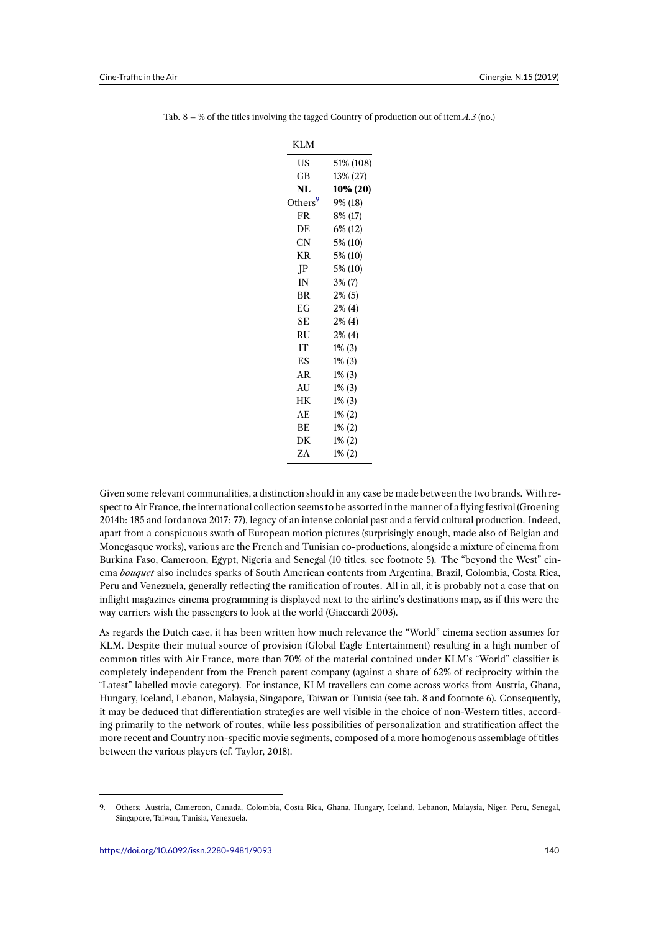|  |  |  |  | Tab. 8 – % of the titles involving the tagged Country of production out of item $A.3$ (no.) |  |  |
|--|--|--|--|---------------------------------------------------------------------------------------------|--|--|
|  |  |  |  |                                                                                             |  |  |

| <b>KLM</b>          |           |
|---------------------|-----------|
| US                  | 51% (108) |
| GB                  | 13% (27)  |
| NL                  | 10% (20)  |
| Others <sup>9</sup> | 9% (18)   |
| FR                  | 8% (17)   |
| DE                  | 6% (12)   |
| CN                  | 5% (10)   |
| KR                  | 5% (10)   |
| $_{\rm IP}$         | 5% (10)   |
| IN                  | $3\%$ (7) |
| <b>BR</b>           | $2\%$ (5) |
| EG                  | $2\%$ (4) |
| <b>SE</b>           | $2\%$ (4) |
| RU                  | $2\%$ (4) |
| IT                  | $1\%$ (3) |
| ES                  | $1\%$ (3) |
| AR                  | $1\%$ (3) |
| <b>AU</b>           | $1\%$ (3) |
| HK                  | $1\%$ (3) |
| AE                  | $1\% (2)$ |
| <b>BE</b>           | $1\% (2)$ |
| DK                  | $1\% (2)$ |
| ZΑ                  | $1\% (2)$ |

Given some relevant communalities, a distinction should in any case be made between the two brands. With respect to Air France, the international collection seems to be assorted in the manner of a flying festival (Groening 2014b: 185 and Iordanova 2017: 77), legacy of an intense colonial past and a fervid cultural production. Indeed, apart from a conspicuous swath of European motion pictures (surprisingly enough, made also of Belgian and Monegasque works), various are the French and Tunisian co-productions, alongside a mixture of cinema from Burkina Faso, Cameroon, Egypt, Nigeria and Senegal (10 titles, see footnote 5). The "beyond the West" cinema *bouquet* also includes sparks of South American contents from Argentina, Brazil, Colombia, Costa Rica, Peru and Venezuela, generally reflecting the ramification of routes. All in all, it is probably not a case that on inflight magazines cinema programming is displayed next to the airline's destinations map, as if this were the way carriers wish the passengers to look at the world (Giaccardi 2003).

As regards the Dutch case, it has been written how much relevance the "World" cinema section assumes for KLM. Despite their mutual source of provision (Global Eagle Entertainment) resulting in a high number of common titles with Air France, more than 70% of the material contained under KLM's "World" classifier is completely independent from the French parent company (against a share of 62% of reciprocity within the "Latest" labelled movie category). For instance, KLM travellers can come across works from Austria, Ghana, Hungary, Iceland, Lebanon, Malaysia, Singapore, Taiwan or Tunisia (see tab. 8 and footnote 6). Consequently, it may be deduced that differentiation strategies are well visible in the choice of non-Western titles, according primarily to the network of routes, while less possibilities of personalization and stratification affect the more recent and Country non-specific movie segments, composed of a more homogenous assemblage of titles between the various players (cf. Taylor, 2018).

<span id="page-11-0"></span><sup>9.</sup> Others: Austria, Cameroon, Canada, Colombia, Costa Rica, Ghana, Hungary, Iceland, Lebanon, Malaysia, Niger, Peru, Senegal, Singapore, Taiwan, Tunisia, Venezuela.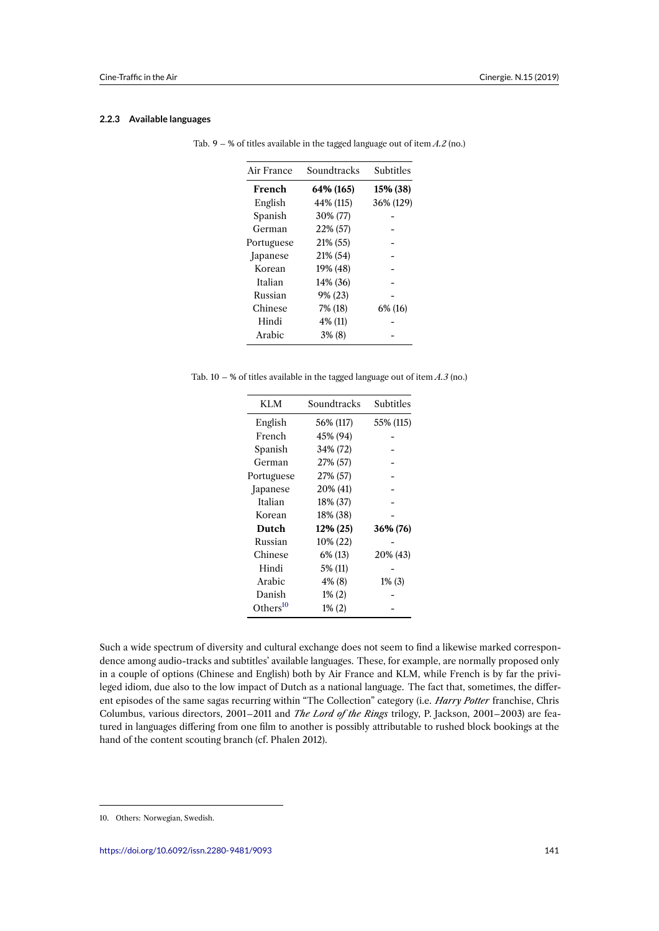#### **2.2.3 Available languages**

| Air France | Soundtracks | Subtitles |
|------------|-------------|-----------|
| French     | 64% (165)   | 15% (38)  |
| English    | 44% (115)   | 36% (129) |
| Spanish    | 30% (77)    |           |
| German     | 22% (57)    |           |
| Portuguese | 21% (55)    |           |
| Japanese   | 21% (54)    |           |
| Korean     | 19% (48)    |           |
| Italian    | 14% (36)    |           |
| Russian    | 9% (23)     |           |
| Chinese    | 7% (18)     | 6% (16)   |
| Hindi      | 4% (11)     |           |
| Arabic     | $3\%$ (8)   |           |

Tab. 9 – % of titles available in the tagged language out of item *A.2* (no.)

Tab. 10 – % of titles available in the tagged language out of item *A.3* (no.)

| KLM                  | Soundtracks | <b>Subtitles</b> |
|----------------------|-------------|------------------|
| English              | 56% (117)   | 55% (115)        |
| French               | 45% (94)    |                  |
| Spanish              | 34% (72)    |                  |
| German               | 27% (57)    |                  |
| Portuguese           | 27% (57)    |                  |
| Japanese             | 20% (41)    |                  |
| Italian              | 18% (37)    |                  |
| Korean               | 18% (38)    |                  |
| Dutch                | 12% (25)    | 36% (76)         |
| Russian              | 10% (22)    |                  |
| Chinese              | 6% (13)     | 20% (43)         |
| Hindi                | 5% (11)     |                  |
| Arabic               | 4% (8)      | $1\%$ (3)        |
| Danish               | $1\% (2)$   |                  |
| Others <sup>10</sup> | $1\% (2)$   |                  |

Such a wide spectrum of diversity and cultural exchange does not seem to find a likewise marked correspondence among audio-tracks and subtitles' av[ail](#page-12-0)able languages. These, for example, are normally proposed only in a couple of options (Chinese and English) both by Air France and KLM, while French is by far the privileged idiom, due also to the low impact of Dutch as a national language. The fact that, sometimes, the different episodes of the same sagas recurring within "The Collection" category (i.e. *Harry Potter* franchise, Chris Columbus, various directors, 2001–2011 and *The Lord of the Rings* trilogy, P. Jackson, 2001–2003) are featured in languages differing from one film to another is possibly attributable to rushed block bookings at the hand of the content scouting branch (cf. Phalen 2012).

<span id="page-12-0"></span><sup>10.</sup> Others: Norwegian, Swedish.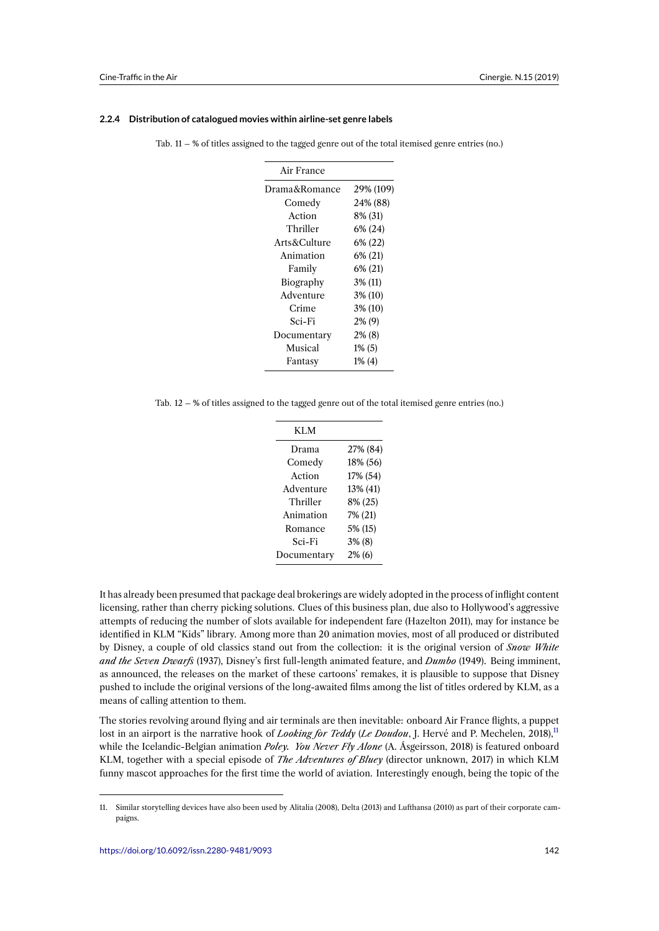#### **2.2.4 Distribution of catalogued movies within airline-set genre labels**

|  |  | Tab. $11 - %$ of titles assigned to the tagged genre out of the total itemised genre entries (no.) |  |
|--|--|----------------------------------------------------------------------------------------------------|--|
|  |  |                                                                                                    |  |

| Air France    |           |
|---------------|-----------|
| Drama&Romance | 29% (109) |
| Comedy        | 24% (88)  |
| Action        | 8% (31)   |
| Thriller      | 6% (24)   |
| Arts&Culture  | 6% (22)   |
| Animation     | 6% (21)   |
| Family        | 6% (21)   |
| Biography     | 3% (11)   |
| Adventure     | 3% (10)   |
| Crime         | 3% (10)   |
| Sci-Fi        | 2% (9)    |
| Documentary   | $2\%$ (8) |
| Musical       | $1\%$ (5) |
| Fantasy       | $1\%$ (4) |

Tab. 12 – % of titles assigned to the tagged genre out of the total itemised genre entries (no.)

| KLM         |           |
|-------------|-----------|
| Drama       | 27% (84)  |
| Comedy      | 18% (56)  |
| Action      | 17% (54)  |
| Adventure   | 13% (41)  |
| Thriller    | 8% (25)   |
| Animation   | 7% (21)   |
| Romance     | 5% (15)   |
| Sci-Fi      | $3\%$ (8) |
| Documentary | $2\%$ (6) |
|             |           |

It has already been presumed that package deal brokerings are widely adopted in the process of inflight content licensing, rather than cherry picking solutions. Clues of this business plan, due also to Hollywood's aggressive attempts of reducing the number of slots available for independent fare (Hazelton 2011), may for instance be identified in KLM "Kids" library. Among more than 20 animation movies, most of all produced or distributed by Disney, a couple of old classics stand out from the collection: it is the original version of *Snow White and the Seven Dwarfs* (1937), Disney's first full-length animated feature, and *Dumbo* (1949). Being imminent, as announced, the releases on the market of these cartoons' remakes, it is plausible to suppose that Disney pushed to include the original versions of the long-awaited films among the list of titles ordered by KLM, as a means of calling attention to them.

The stories revolving around flying and air terminals are then inevitable: onboard Air France flights, a puppet lost in an airport is the narrative hook of *Looking for Teddy* (*Le Doudou*, J. Hervé and P. Mechelen, 2018),<sup>11</sup> while the Icelandic-Belgian animation *Poley. You Never Fly Alone* (A. Ásgeirsson, 2018) is featured onboard KLM, together with a special episode of *The Adventures of Bluey* (director unknown, 2017) in which KLM funny mascot approaches for the first time the world of aviation. Interestingly enough, being the topic of the

<sup>11.</sup> Similar storytelling devices have also been used by Alitalia (2008), Delta (2013) and Lufthansa (2010) as part of their corporate campaigns.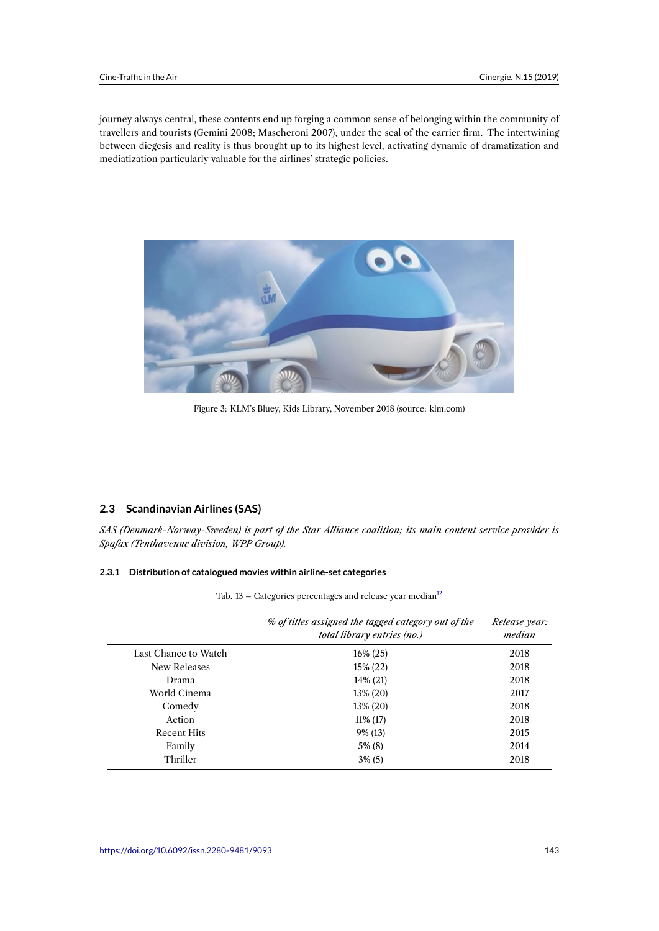journey always central, these contents end up forging a common sense of belonging within the community of travellers and tourists (Gemini 2008; Mascheroni 2007), under the seal of the carrier firm. The intertwining between diegesis and reality is thus brought up to its highest level, activating dynamic of dramatization and mediatization particularly valuable for the airlines' strategic policies.



Figure 3: KLM's Bluey, Kids Library, November 2018 (source: klm.com)

## **2.3 Scandinavian Airlines (SAS)**

*SAS (Denmark-Norway-Sweden) is part of the Star Alliance coalition; its main content service provider is Spafax (Tenthavenue division, WPP Group).*

#### **2.3.1 Distribution of catalogued movies within airline-set categories**

|  |  | Tab. 13 - Categories percentages and release year median $12$ |
|--|--|---------------------------------------------------------------|
|  |  |                                                               |

|                      | % of titles assigned the tagged category out of the<br>total library entries (no.) | Release year:<br>median |
|----------------------|------------------------------------------------------------------------------------|-------------------------|
| Last Chance to Watch | $16\% (25)$                                                                        | 2018                    |
| New Releases         | $15\% (22)$                                                                        | 2018                    |
| Drama                | 14% (21)                                                                           | 2018                    |
| World Cinema         | $13\% (20)$                                                                        | 2017                    |
| Comedy               | 13% (20)                                                                           | 2018                    |
| Action               | $11\%$ (17)                                                                        | 2018                    |
| <b>Recent Hits</b>   | 9% (13)                                                                            | 2015                    |
| Family               | $5\%$ (8)                                                                          | 2014                    |
| Thriller             | $3\%$ (5)                                                                          | 2018                    |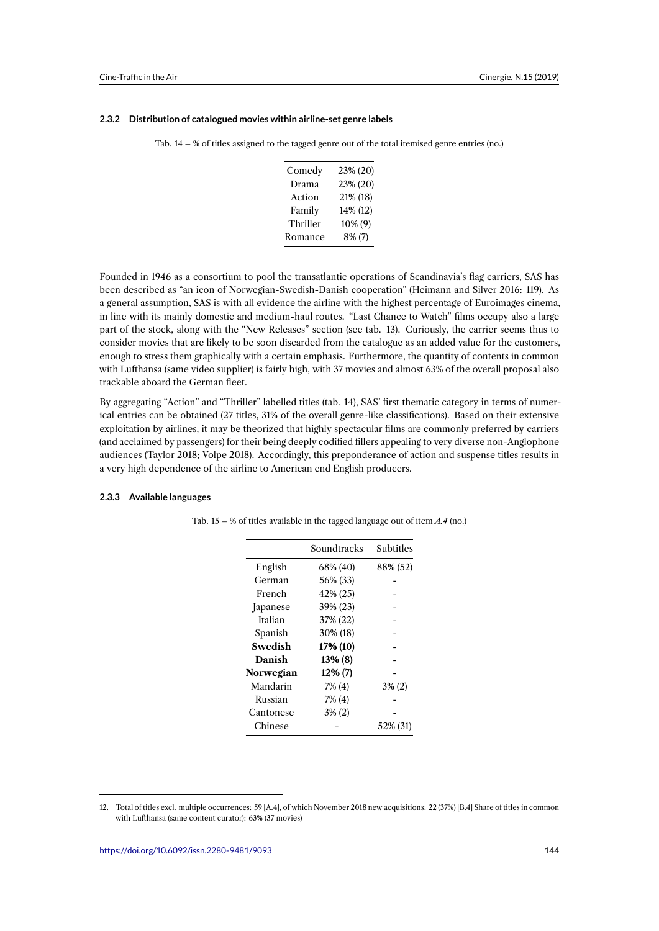#### **2.3.2 Distribution of catalogued movies within airline-set genre labels**

|  |  | Tab. $14 - %$ of titles assigned to the tagged genre out of the total itemised genre entries (no.) |  |  |
|--|--|----------------------------------------------------------------------------------------------------|--|--|
|  |  |                                                                                                    |  |  |

| Comedy   | 23% (20)   |
|----------|------------|
| Drama    | 23% (20)   |
| Action   | 21% (18)   |
| Family   | 14% (12)   |
| Thriller | $10\%$ (9) |
| Romance  | $8\%$ (7)  |

Founded in 1946 as a consortium to pool the transatlantic operations of Scandinavia's flag carriers, SAS has been described as "an icon of Norwegian-Swedish-Danish cooperation" (Heimann and Silver 2016: 119). As a general assumption, SAS is with all evidence the airline with the highest percentage of Euroimages cinema, in line with its mainly domestic and medium-haul routes. "Last Chance to Watch" films occupy also a large part of the stock, along with the "New Releases" section (see tab. 13). Curiously, the carrier seems thus to consider movies that are likely to be soon discarded from the catalogue as an added value for the customers, enough to stress them graphically with a certain emphasis. Furthermore, the quantity of contents in common with Lufthansa (same video supplier) is fairly high, with 37 movies and almost 63% of the overall proposal also trackable aboard the German fleet.

By aggregating "Action" and "Thriller" labelled titles (tab. 14), SAS' first thematic category in terms of numerical entries can be obtained (27 titles, 31% of the overall genre-like classifications). Based on their extensive exploitation by airlines, it may be theorized that highly spectacular films are commonly preferred by carriers (and acclaimed by passengers) for their being deeply codified fillers appealing to very diverse non-Anglophone audiences (Taylor 2018; Volpe 2018). Accordingly, this preponderance of action and suspense titles results in a very high dependence of the airline to American end English producers.

#### **2.3.3 Available languages**

|           | Soundtracks | Subtitles |
|-----------|-------------|-----------|
| English   | 68% (40)    | 88% (52)  |
| German    | 56% (33)    |           |
| French    | 42% (25)    |           |
| Japanese  | 39% (23)    |           |
| Italian   | 37% (22)    |           |
| Spanish   | 30% (18)    |           |
| Swedish   | 17% (10)    |           |
| Danish    | 13% (8)     |           |
| Norwegian | 12% (7)     |           |
| Mandarin  | 7% (4)      | $3\%$ (2) |
| Russian   | 7% (4)      |           |
| Cantonese | $3\%$ (2)   |           |
| Chinese   |             | 52% (31)  |

Tab. 15 – % of titles available in the tagged language out of item *A.4* (no.)

<sup>12.</sup> Total of titles excl. multiple occurrences: 59 [A.4], of which November 2018 new acquisitions: 22 (37%) [B.4] Share of titles in common with Lufthansa (same content curator): 63% (37 movies)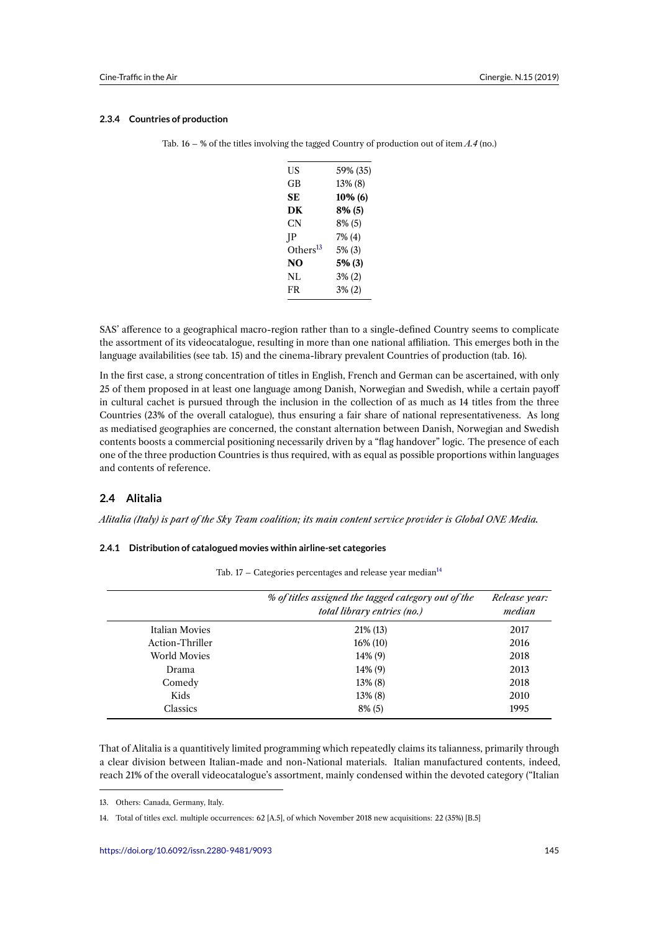#### **2.3.4 Countries of production**

|  |  |  | Tab. 16 – % of the titles involving the tagged Country of production out of item $A.4$ (no.) |  |
|--|--|--|----------------------------------------------------------------------------------------------|--|
|  |  |  |                                                                                              |  |

| US                   | 59% (35)  |
|----------------------|-----------|
| GB                   | 13% (8)   |
| SЕ                   | 10% (6)   |
| DК                   | 8% (5)    |
| CN                   | 8% (5)    |
| IP                   | 7% (4)    |
| Others <sup>13</sup> | $5\%$ (3) |
| NO                   | $5%$ (3)  |
| NL                   | $3\% (2)$ |
| FR                   | $3\% (2)$ |
|                      |           |

SAS' afference to a geographical macro-region rather than to a single-defined Country seems to complicate the assortment of its videocatalogue, resulting in more than one national affiliation. This emerges both in the language availabilities (see tab. 15) and the cinema-library prevalent Countries of production (tab. 16).

In the first case, a strong concentration of titles in English, French and German can be ascertained, with only 25 of them proposed in at least one language among Danish, Norwegian and Swedish, while a certain payoff in cultural cachet is pursued through the inclusion in the collection of as much as 14 titles from the three Countries (23% of the overall catalogue), thus ensuring a fair share of national representativeness. As long as mediatised geographies are concerned, the constant alternation between Danish, Norwegian and Swedish contents boosts a commercial positioning necessarily driven by a "flag handover" logic. The presence of each one of the three production Countries is thus required, with as equal as possible proportions within languages and contents of reference.

## **2.4 Alitalia**

*Alitalia (Italy) is part of the Sky Team coalition; its main content service provider is Global ONE Media.*

#### **2.4.1 Distribution of catalogued movies within airline-set categories**

|  |  |  |  | Tab. 17 – Categories percentages and release year median $^{14}$ |
|--|--|--|--|------------------------------------------------------------------|
|--|--|--|--|------------------------------------------------------------------|

|                     | % of titles assigned the tagged category out of the<br>total library entries (no.) | Release year:<br>median |
|---------------------|------------------------------------------------------------------------------------|-------------------------|
| Italian Movies      | $21\%$ (13)                                                                        | 2017                    |
| Action-Thriller     | $16\%$ (10)                                                                        | 2016                    |
| <b>World Movies</b> | 14% (9)                                                                            | 2018                    |
| Drama               | 14% (9)                                                                            | 2013                    |
| Comedy              | 13% (8)                                                                            | 2018                    |
| Kids                | 13% (8)                                                                            | 2010                    |
| <b>Classics</b>     | $8\%$ (5)                                                                          | 1995                    |

That of Alitalia is a quantitively limited programming which repeatedly claims its talianness, primarily through a clear division between Italian-made and non-National materials. Italian manufactured contents, indeed, reach 21% of the overall videocatalogue's assortment, mainly condensed within the devoted category ("Italian

<sup>13.</sup> Others: Canada, Germany, Italy.

<sup>14.</sup> Total of titles excl. multiple occurrences: 62 [A.5], of which November 2018 new acquisitions: 22 (35%) [B.5]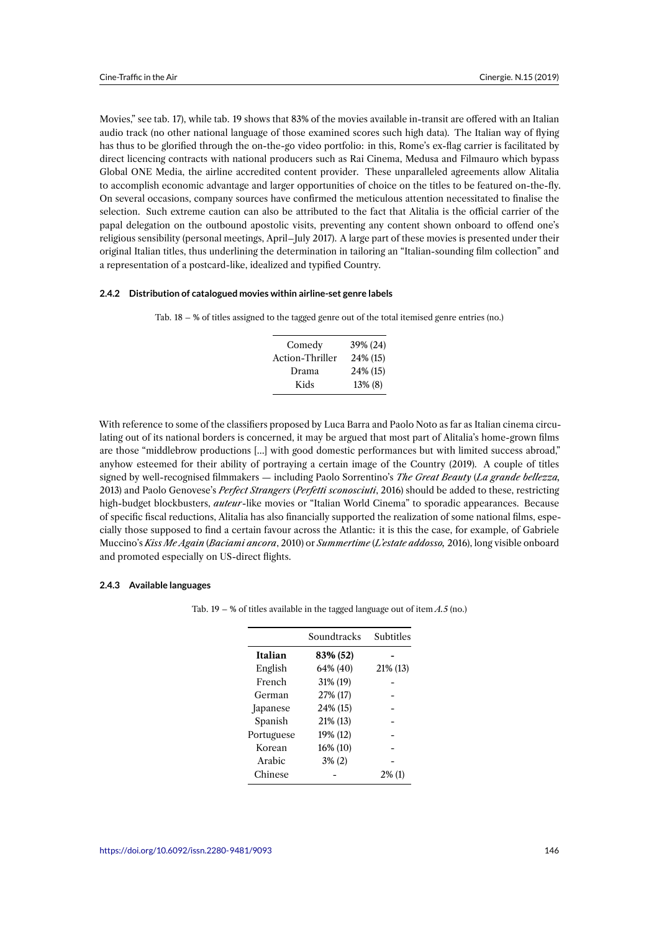Movies," see tab. 17), while tab. 19 shows that 83% of the movies available in-transit are offered with an Italian audio track (no other national language of those examined scores such high data). The Italian way of flying has thus to be glorified through the on-the-go video portfolio: in this, Rome's ex-flag carrier is facilitated by direct licencing contracts with national producers such as Rai Cinema, Medusa and Filmauro which bypass Global ONE Media, the airline accredited content provider. These unparalleled agreements allow Alitalia to accomplish economic advantage and larger opportunities of choice on the titles to be featured on-the-fly. On several occasions, company sources have confirmed the meticulous attention necessitated to finalise the selection. Such extreme caution can also be attributed to the fact that Alitalia is the official carrier of the papal delegation on the outbound apostolic visits, preventing any content shown onboard to offend one's religious sensibility (personal meetings, April–July 2017). A large part of these movies is presented under their original Italian titles, thus underlining the determination in tailoring an "Italian-sounding film collection" and a representation of a postcard-like, idealized and typified Country.

#### **2.4.2 Distribution of catalogued movies within airline-set genre labels**

|  |  |  |  |  |  |  |  |  |  |  | Tab. 18 – % of titles assigned to the tagged genre out of the total itemised genre entries (no.) |  |  |  |
|--|--|--|--|--|--|--|--|--|--|--|--------------------------------------------------------------------------------------------------|--|--|--|
|--|--|--|--|--|--|--|--|--|--|--|--------------------------------------------------------------------------------------------------|--|--|--|

| Comedy          | 39% (24) |
|-----------------|----------|
| Action-Thriller | 24% (15) |
| Drama           | 24% (15) |
| Kids            | 13% (8)  |

With reference to some of the classifiers proposed by Luca Barra and Paolo Noto as far as Italian cinema circulating out of its national borders is concerned, it may be argued that most part of Alitalia's home-grown films are those "middlebrow productions […] with good domestic performances but with limited success abroad," anyhow esteemed for their ability of portraying a certain image of the Country (2019). A couple of titles signed by well-recognised filmmakers — including Paolo Sorrentino's *The Great Beauty* (*La grande bellezza,* 2013) and Paolo Genovese's *Perfect Strangers* (*Perfetti sconosciuti*, 2016) should be added to these, restricting high-budget blockbusters, *auteur*-like movies or "Italian World Cinema" to sporadic appearances. Because of specific fiscal reductions, Alitalia has also financially supported the realization of some national films, especially those supposed to find a certain favour across the Atlantic: it is this the case, for example, of Gabriele Muccino's *Kiss Me Again* (*Baciami ancora*, 2010) or *Summertime* (*L'estate addosso,* 2016), long visible onboard and promoted especially on US-direct flights.

#### **2.4.3 Available languages**

| Soundtracks | Subtitles |
|-------------|-----------|
| 83% (52)    |           |
| 64% (40)    | 21% (13)  |
| 31% (19)    |           |
| 27% (17)    |           |
| 24% (15)    |           |
| 21% (13)    |           |
| 19% (12)    |           |
| 16% (10)    |           |
| $3\% (2)$   |           |
|             | $2\%$ (1) |
|             |           |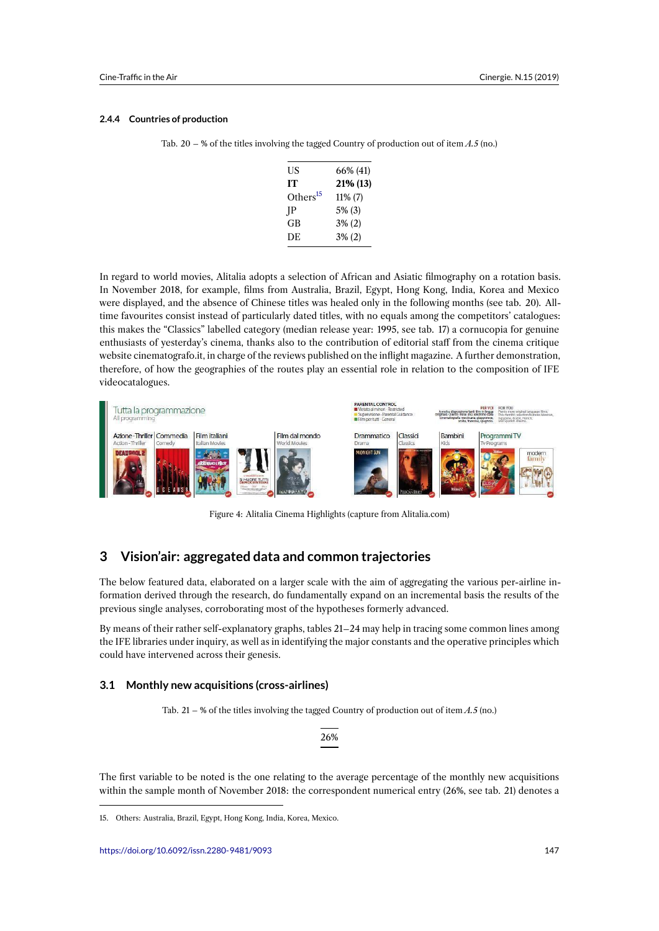#### **2.4.4 Countries of production**

| Tab. 20 – % of the titles involving the tagged Country of production out of item $A.5$ (no.) |  |
|----------------------------------------------------------------------------------------------|--|
|                                                                                              |  |

| US                   | 66% (41)   |
|----------------------|------------|
| IТ                   | 21% (13)   |
| Others <sup>15</sup> | $11\%$ (7) |
| IP                   | $5\%$ (3)  |
| GB                   | $3\%$ (2)  |
| DE                   | $3\%$ (2)  |
|                      |            |

In regard to world movies, Alitalia adopts a selection of African and Asiatic filmography on a rotation basis. In November 2018, for example, films from Australia, Brazil, Egypt, Hong Kong, India, Korea and Mexico were displayed, and the absence of Chinese titles was healed only in the following months (see tab. 20). Alltime favourites consist instead of particularly dated titles, with no equals among the competitors' catalogues: this makes the "Classics" labelled category (median release year: 1995, see tab. 17) a cornucopia for genuine enthusiasts of yesterday's cinema, thanks also to the contribution of editorial staff from the cinema critique website cinematografo.it, in charge of the reviews published on the inflight magazine. A further demonstration, therefore, of how the geographies of the routes play an essential role in relation to the composition of IFE videocatalogues.



Figure 4: Alitalia Cinema Highlights (capture from Alitalia.com)

## **3 Vision'air: aggregated data and common trajectories**

The below featured data, elaborated on a larger scale with the aim of aggregating the various per-airline information derived through the research, do fundamentally expand on an incremental basis the results of the previous single analyses, corroborating most of the hypotheses formerly advanced.

By means of their rather self-explanatory graphs, tables 21–24 may help in tracing some common lines among the IFE libraries under inquiry, as well as in identifying the major constants and the operative principles which could have intervened across their genesis.

#### **3.1 Monthly new acquisitions (cross-airlines)**

Tab. 21 – % of the titles involving the tagged Country of production out of item *A.5* (no.)

26%

The first variable to be noted is the one relating to the average percentage of the monthly new acquisitions within the sample month of November 2018: the correspondent numerical entry (26%, see tab. 21) denotes a

<sup>15.</sup> Others: Australia, Brazil, Egypt, Hong Kong, India, Korea, Mexico.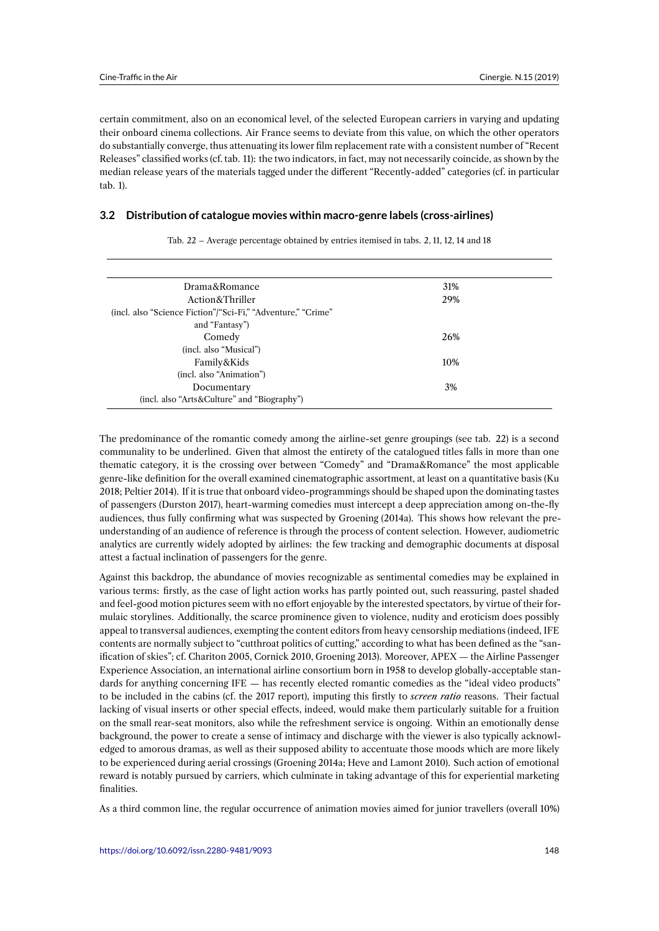certain commitment, also on an economical level, of the selected European carriers in varying and updating their onboard cinema collections. Air France seems to deviate from this value, on which the other operators do substantially converge, thus attenuating its lower film replacement rate with a consistent number of "Recent Releases" classified works (cf. tab. 11): the two indicators, in fact, may not necessarily coincide, as shown by the median release years of the materials tagged under the different "Recently-added" categories (cf. in particular tab. 1).

#### **3.2 Distribution of catalogue movies within macro-genre labels (cross-airlines)**

| 31% |  |
|-----|--|
| 29% |  |
|     |  |
|     |  |
| 26% |  |
|     |  |
| 10% |  |
|     |  |
| 3%  |  |
|     |  |
|     |  |

Tab. 22 – Average percentage obtained by entries itemised in tabs. 2, 11, 12, 14 and 18

The predominance of the romantic comedy among the airline-set genre groupings (see tab. 22) is a second communality to be underlined. Given that almost the entirety of the catalogued titles falls in more than one thematic category, it is the crossing over between "Comedy" and "Drama&Romance" the most applicable genre-like definition for the overall examined cinematographic assortment, at least on a quantitative basis (Ku 2018; Peltier 2014). If it is true that onboard video-programmings should be shaped upon the dominating tastes of passengers (Durston 2017), heart-warming comedies must intercept a deep appreciation among on-the-fly audiences, thus fully confirming what was suspected by Groening (2014a). This shows how relevant the preunderstanding of an audience of reference is through the process of content selection. However, audiometric analytics are currently widely adopted by airlines: the few tracking and demographic documents at disposal attest a factual inclination of passengers for the genre.

Against this backdrop, the abundance of movies recognizable as sentimental comedies may be explained in various terms: firstly, as the case of light action works has partly pointed out, such reassuring, pastel shaded and feel-good motion pictures seem with no effort enjoyable by the interested spectators, by virtue of their formulaic storylines. Additionally, the scarce prominence given to violence, nudity and eroticism does possibly appeal to transversal audiences, exempting the content editors from heavy censorship mediations (indeed, IFE contents are normally subject to "cutthroat politics of cutting," according to what has been defined as the "sanification of skies"; cf. Chariton 2005, Cornick 2010, Groening 2013). Moreover, APEX — the Airline Passenger Experience Association, an international airline consortium born in 1958 to develop globally-acceptable standards for anything concerning IFE — has recently elected romantic comedies as the "ideal video products" to be included in the cabins (cf. the 2017 report), imputing this firstly to *screen ratio* reasons. Their factual lacking of visual inserts or other special effects, indeed, would make them particularly suitable for a fruition on the small rear-seat monitors, also while the refreshment service is ongoing. Within an emotionally dense background, the power to create a sense of intimacy and discharge with the viewer is also typically acknowledged to amorous dramas, as well as their supposed ability to accentuate those moods which are more likely to be experienced during aerial crossings (Groening 2014a; Heve and Lamont 2010). Such action of emotional reward is notably pursued by carriers, which culminate in taking advantage of this for experiential marketing finalities.

As a third common line, the regular occurrence of animation movies aimed for junior travellers (overall 10%)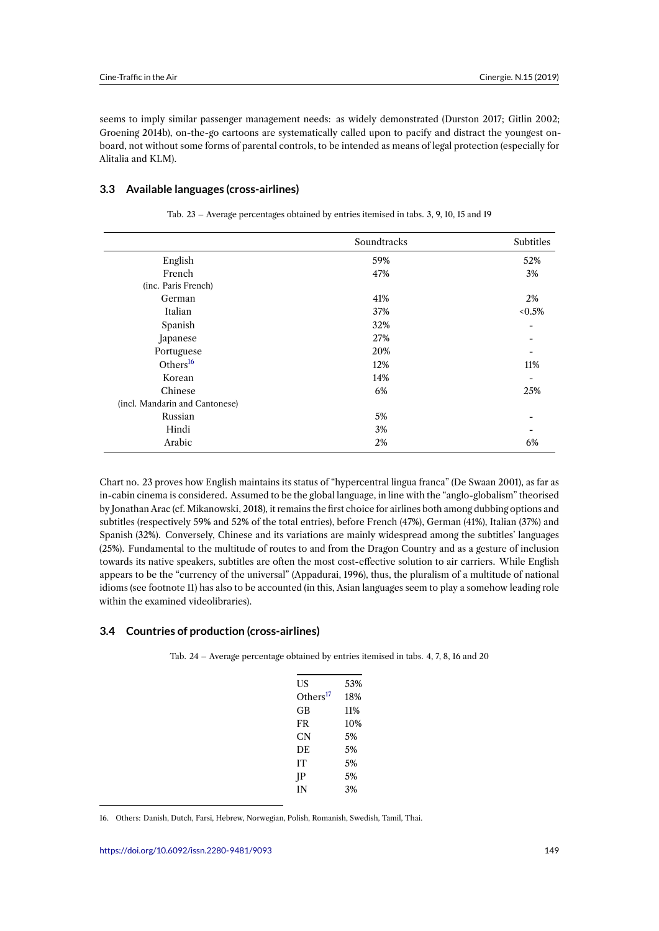seems to imply similar passenger management needs: as widely demonstrated (Durston 2017; Gitlin 2002; Groening 2014b), on-the-go cartoons are systematically called upon to pacify and distract the youngest onboard, not without some forms of parental controls, to be intended as means of legal protection (especially for Alitalia and KLM).

## **3.3 Available languages (cross-airlines)**

|                                | Soundtracks | Subtitles |
|--------------------------------|-------------|-----------|
| English                        | 59%         | 52%       |
| French                         | 47%         | 3%        |
| (inc. Paris French)            |             |           |
| German                         | 41%         | 2%        |
| Italian                        | 37%         | $< 0.5\%$ |
| Spanish                        | 32%         |           |
| Japanese                       | 27%         |           |
| Portuguese                     | 20%         |           |
| Others <sup>16</sup>           | 12%         | 11%       |
| Korean                         | 14%         |           |
| Chinese                        | 6%          | 25%       |
| (incl. Mandarin and Cantonese) |             |           |
| Russian                        | 5%          |           |
| Hindi                          | 3%          |           |
| Arabic                         | 2%          | 6%        |
|                                |             |           |

Tab. 23 – Average percentages obtained by entries itemised in tabs. 3, 9, 10, 15 and 19

Chart no. 23 proves how English maintains its status of "hypercentral lingua franca" (De Swaan 2001), as far as in-cabin cinema is considered. Assumed to be the global language, in line with the "anglo-globalism" theorised by Jonathan Arac (cf. Mikanowski, 2018), it remains the first choice for airlines both among dubbing options and subtitles (respectively 59% and 52% of the total entries), before French (47%), German (41%), Italian (37%) and Spanish (32%). Conversely, Chinese and its variations are mainly widespread among the subtitles' languages (25%). Fundamental to the multitude of routes to and from the Dragon Country and as a gesture of inclusion towards its native speakers, subtitles are often the most cost-effective solution to air carriers. While English appears to be the "currency of the universal" (Appadurai, 1996), thus, the pluralism of a multitude of national idioms (see footnote 11) has also to be accounted (in this, Asian languages seem to play a somehow leading role within the examined videolibraries).

### **3.4 Countries of production (cross-airlines)**

Tab. 24 – Average percentage obtained by entries itemised in tabs. 4, 7, 8, 16 and 20

| US                   | 53% |
|----------------------|-----|
| Others <sup>17</sup> | 18% |
| GB                   | 11% |
| FR                   | 10% |
| CN                   | 5%  |
| DE.                  | 5%  |
| IТ                   | 5%  |
| JΡ                   | 5%  |
| IN                   | 3%  |

<span id="page-20-0"></span><sup>16.</sup> Others: Danish, Dutch, Farsi, Hebrew, Norwegian, Polish, Romanish, Swedish, Tamil, Thai.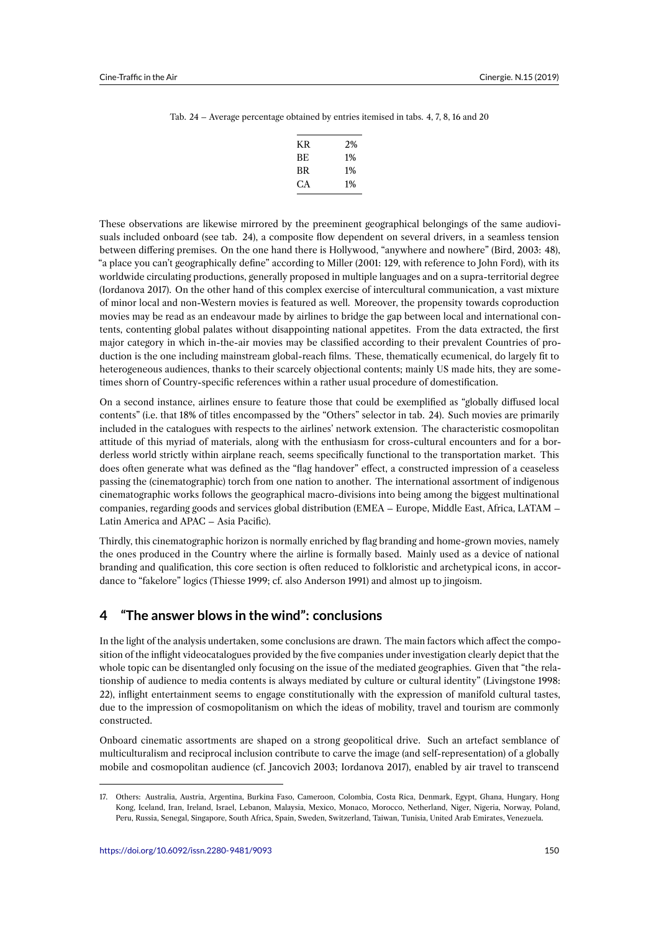#### Tab. 24 – Average percentage obtained by entries itemised in tabs. 4, 7, 8, 16 and 20

| KR. | 2%    |
|-----|-------|
| BE. | $1\%$ |
| BR  | $1\%$ |
| CА  | $1\%$ |

These observations are likewise mirrored by the preeminent geographical belongings of the same audiovisuals included onboard (see tab. 24), a composite flow dependent on several drivers, in a seamless tension between differing premises. On the one hand there is Hollywood, "anywhere and nowhere" (Bird, 2003: 48), "a place you can't geographically define" according to Miller (2001: 129, with reference to John Ford), with its worldwide circulating productions, generally proposed in multiple languages and on a supra-territorial degree (Iordanova 2017). On the other hand of this complex exercise of intercultural communication, a vast mixture of minor local and non-Western movies is featured as well. Moreover, the propensity towards coproduction movies may be read as an endeavour made by airlines to bridge the gap between local and international contents, contenting global palates without disappointing national appetites. From the data extracted, the first major category in which in-the-air movies may be classified according to their prevalent Countries of production is the one including mainstream global-reach films. These, thematically ecumenical, do largely fit to heterogeneous audiences, thanks to their scarcely objectional contents; mainly US made hits, they are sometimes shorn of Country-specific references within a rather usual procedure of domestification.

On a second instance, airlines ensure to feature those that could be exemplified as "globally diffused local contents" (i.e. that 18% of titles encompassed by the "Others" selector in tab. 24). Such movies are primarily included in the catalogues with respects to the airlines' network extension. The characteristic cosmopolitan attitude of this myriad of materials, along with the enthusiasm for cross-cultural encounters and for a borderless world strictly within airplane reach, seems specifically functional to the transportation market. This does often generate what was defined as the "flag handover" effect, a constructed impression of a ceaseless passing the (cinematographic) torch from one nation to another. The international assortment of indigenous cinematographic works follows the geographical macro-divisions into being among the biggest multinational companies, regarding goods and services global distribution (EMEA – Europe, Middle East, Africa, LATAM – Latin America and APAC – Asia Pacific).

Thirdly, this cinematographic horizon is normally enriched by flag branding and home-grown movies, namely the ones produced in the Country where the airline is formally based. Mainly used as a device of national branding and qualification, this core section is often reduced to folkloristic and archetypical icons, in accordance to "fakelore" logics (Thiesse 1999; cf. also Anderson 1991) and almost up to jingoism.

## **4 "The answer blows in the wind": conclusions**

In the light of the analysis undertaken, some conclusions are drawn. The main factors which affect the composition of the inflight videocatalogues provided by the five companies under investigation clearly depict that the whole topic can be disentangled only focusing on the issue of the mediated geographies. Given that "the relationship of audience to media contents is always mediated by culture or cultural identity" (Livingstone 1998: 22), inflight entertainment seems to engage constitutionally with the expression of manifold cultural tastes, due to the impression of cosmopolitanism on which the ideas of mobility, travel and tourism are commonly constructed.

Onboard cinematic assortments are shaped on a strong geopolitical drive. Such an artefact semblance of multiculturalism and reciprocal inclusion contribute to carve the image (and self-representation) of a globally mobile and cosmopolitan audience (cf. Jancovich 2003; Iordanova 2017), enabled by air travel to transcend

<sup>17.</sup> Others: Australia, Austria, Argentina, Burkina Faso, Cameroon, Colombia, Costa Rica, Denmark, Egypt, Ghana, Hungary, Hong Kong, Iceland, Iran, Ireland, Israel, Lebanon, Malaysia, Mexico, Monaco, Morocco, Netherland, Niger, Nigeria, Norway, Poland, Peru, Russia, Senegal, Singapore, South Africa, Spain, Sweden, Switzerland, Taiwan, Tunisia, United Arab Emirates, Venezuela.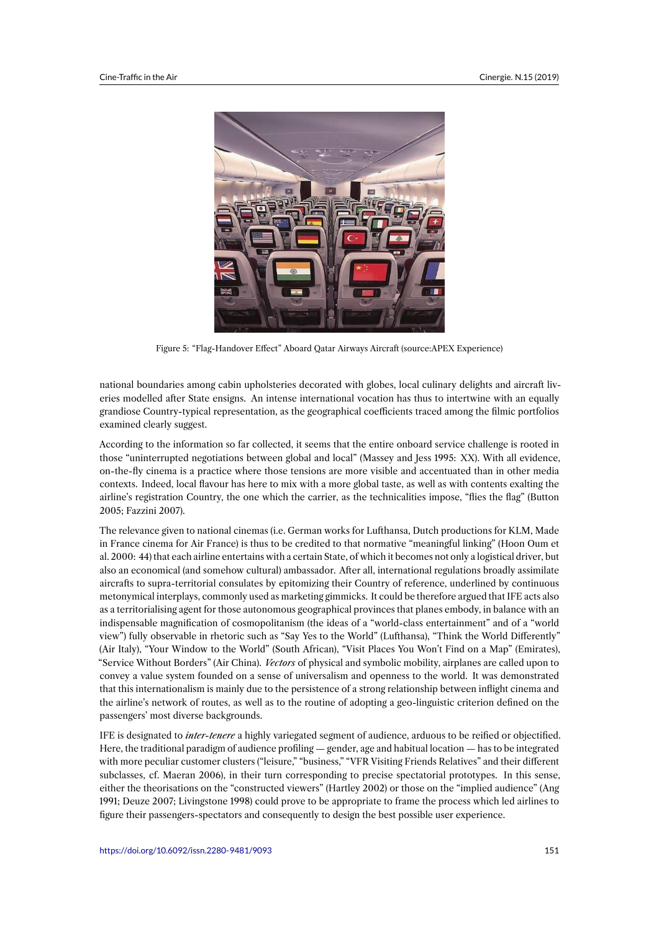

Figure 5: "Flag-Handover Effect" Aboard Qatar Airways Aircraft (source:APEX Experience)

national boundaries among cabin upholsteries decorated with globes, local culinary delights and aircraft liveries modelled after State ensigns. An intense international vocation has thus to intertwine with an equally grandiose Country-typical representation, as the geographical coefficients traced among the filmic portfolios examined clearly suggest.

According to the information so far collected, it seems that the entire onboard service challenge is rooted in those "uninterrupted negotiations between global and local" (Massey and Jess 1995: XX). With all evidence, on-the-fly cinema is a practice where those tensions are more visible and accentuated than in other media contexts. Indeed, local flavour has here to mix with a more global taste, as well as with contents exalting the airline's registration Country, the one which the carrier, as the technicalities impose, "flies the flag" (Button 2005; Fazzini 2007).

The relevance given to national cinemas (i.e. German works for Lufthansa, Dutch productions for KLM, Made in France cinema for Air France) is thus to be credited to that normative "meaningful linking" (Hoon Oum et al. 2000: 44) that each airline entertains with a certain State, of which it becomes not only a logistical driver, but also an economical (and somehow cultural) ambassador. After all, international regulations broadly assimilate aircrafts to supra-territorial consulates by epitomizing their Country of reference, underlined by continuous metonymical interplays, commonly used as marketing gimmicks. It could be therefore argued that IFE acts also as a territorialising agent for those autonomous geographical provinces that planes embody, in balance with an indispensable magnification of cosmopolitanism (the ideas of a "world-class entertainment" and of a "world view") fully observable in rhetoric such as "Say Yes to the World" (Lufthansa), "Think the World Differently" (Air Italy), "Your Window to the World" (South African), "Visit Places You Won't Find on a Map" (Emirates), "Service Without Borders" (Air China). *Vectors* of physical and symbolic mobility, airplanes are called upon to convey a value system founded on a sense of universalism and openness to the world. It was demonstrated that this internationalism is mainly due to the persistence of a strong relationship between inflight cinema and the airline's network of routes, as well as to the routine of adopting a geo-linguistic criterion defined on the passengers' most diverse backgrounds.

IFE is designated to *inter-tenere* a highly variegated segment of audience, arduous to be reified or objectified. Here, the traditional paradigm of audience profiling — gender, age and habitual location — has to be integrated with more peculiar customer clusters ("leisure," "business," "VFR Visiting Friends Relatives" and their different subclasses, cf. Maeran 2006), in their turn corresponding to precise spectatorial prototypes. In this sense, either the theorisations on the "constructed viewers" (Hartley 2002) or those on the "implied audience" (Ang 1991; Deuze 2007; Livingstone 1998) could prove to be appropriate to frame the process which led airlines to figure their passengers-spectators and consequently to design the best possible user experience.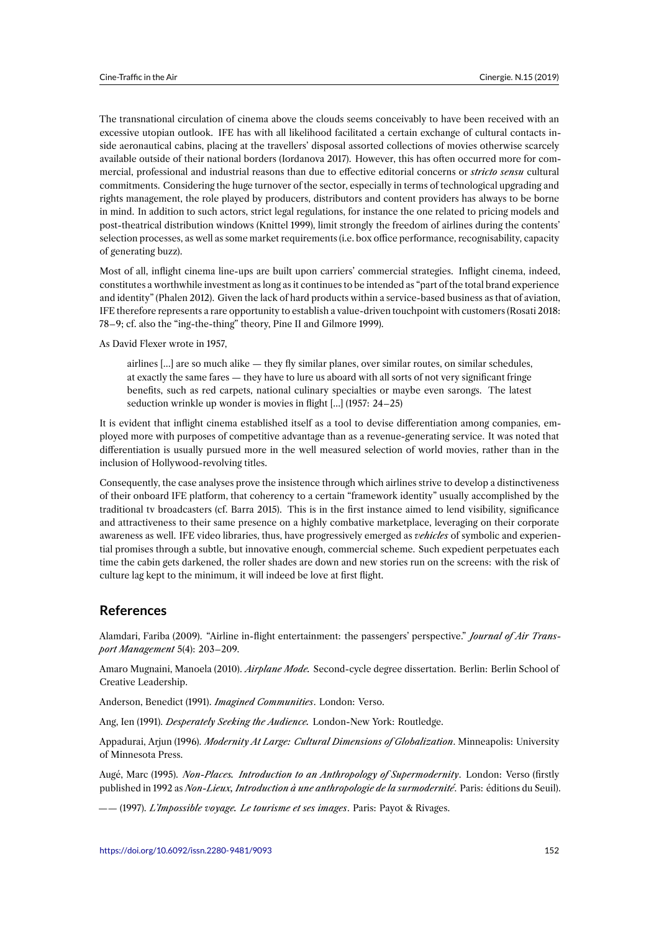The transnational circulation of cinema above the clouds seems conceivably to have been received with an excessive utopian outlook. IFE has with all likelihood facilitated a certain exchange of cultural contacts inside aeronautical cabins, placing at the travellers' disposal assorted collections of movies otherwise scarcely available outside of their national borders (Iordanova 2017). However, this has often occurred more for commercial, professional and industrial reasons than due to effective editorial concerns or *stricto sensu* cultural commitments. Considering the huge turnover of the sector, especially in terms of technological upgrading and rights management, the role played by producers, distributors and content providers has always to be borne in mind. In addition to such actors, strict legal regulations, for instance the one related to pricing models and post-theatrical distribution windows (Knittel 1999), limit strongly the freedom of airlines during the contents' selection processes, as well as some market requirements (i.e. box office performance, recognisability, capacity of generating buzz).

Most of all, inflight cinema line-ups are built upon carriers' commercial strategies. Inflight cinema, indeed, constitutes a worthwhile investment as long as it continues to be intended as "part of the total brand experience and identity" (Phalen 2012). Given the lack of hard products within a service-based business as that of aviation, IFE therefore represents a rare opportunity to establish a value-driven touchpoint with customers (Rosati 2018: 78–9; cf. also the "ing-the-thing" theory, Pine II and Gilmore 1999).

As David Flexer wrote in 1957,

airlines […] are so much alike — they fly similar planes, over similar routes, on similar schedules, at exactly the same fares — they have to lure us aboard with all sorts of not very significant fringe benefits, such as red carpets, national culinary specialties or maybe even sarongs. The latest seduction wrinkle up wonder is movies in flight […] (1957: 24–25)

It is evident that inflight cinema established itself as a tool to devise differentiation among companies, employed more with purposes of competitive advantage than as a revenue-generating service. It was noted that differentiation is usually pursued more in the well measured selection of world movies, rather than in the inclusion of Hollywood-revolving titles.

Consequently, the case analyses prove the insistence through which airlines strive to develop a distinctiveness of their onboard IFE platform, that coherency to a certain "framework identity" usually accomplished by the traditional tv broadcasters (cf. Barra 2015). This is in the first instance aimed to lend visibility, significance and attractiveness to their same presence on a highly combative marketplace, leveraging on their corporate awareness as well. IFE video libraries, thus, have progressively emerged as *vehicles* of symbolic and experiential promises through a subtle, but innovative enough, commercial scheme. Such expedient perpetuates each time the cabin gets darkened, the roller shades are down and new stories run on the screens: with the risk of culture lag kept to the minimum, it will indeed be love at first flight.

## **References**

Alamdari, Fariba (2009). "Airline in-flight entertainment: the passengers' perspective." *Journal of Air Transport Management* 5(4): 203–209.

Amaro Mugnaini, Manoela (2010). *Airplane Mode.* Second-cycle degree dissertation. Berlin: Berlin School of Creative Leadership.

Anderson, Benedict (1991). *Imagined Communities*. London: Verso.

Ang, Ien (1991). *Desperately Seeking the Audience.* London-New York: Routledge.

Appadurai, Arjun (1996). *Modernity At Large: Cultural Dimensions of Globalization*. Minneapolis: University of Minnesota Press.

Augé, Marc (1995). *Non-Places. Introduction to an Anthropology of Supermodernity*. London: Verso (firstly published in 1992 as *Non-Lieux, Introduction à une anthropologie de la surmodernité*. Paris: éditions du Seuil).

—— (1997). *L'Impossible voyage. Le tourisme et ses images*. Paris: Payot & Rivages.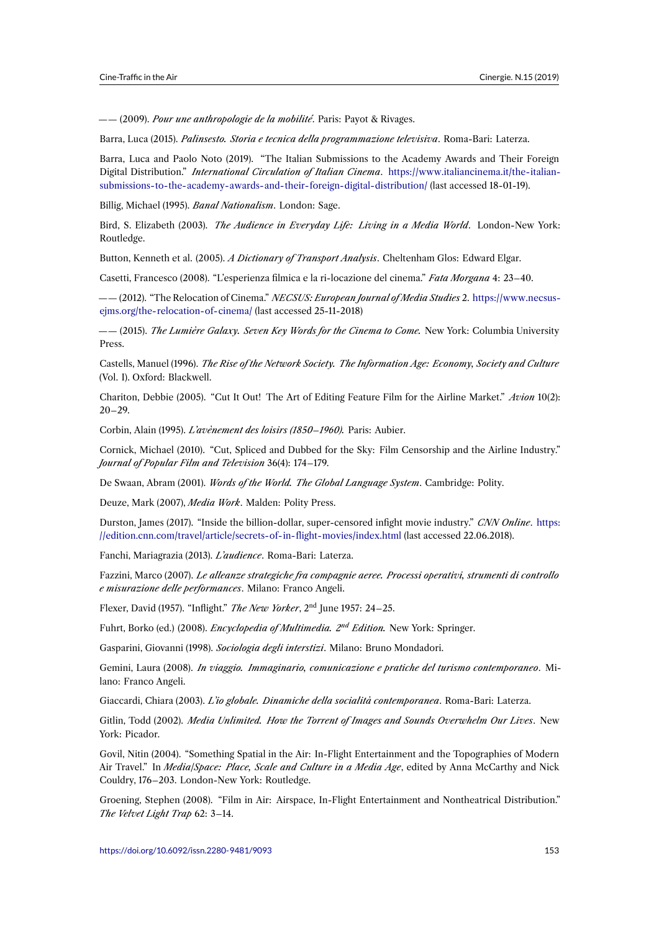—— (2009). *Pour une anthropologie de la mobilité*. Paris: Payot & Rivages.

Barra, Luca (2015). *Palinsesto. Storia e tecnica della programmazione televisiva*. Roma-Bari: Laterza.

Barra, Luca and Paolo Noto (2019). "The Italian Submissions to the Academy Awards and Their Foreign Digital Distribution." *International Circulation of Italian Cinema*. https://www.italiancinema.it/the-italiansubmissions-to-the-academy-awards-and-their-foreign-digital-distribution/ (last accessed 18-01-19).

Billig, Michael (1995). *Banal Nationalism*. London: Sage.

Bird, S. Elizabeth (2003). *The Audience in Everyday Life: Living in a Media World*[. London-New York:](https://www.italiancinema.it/the-italian-submissions-to-the-academy-awards-and-their-foreign-digital-distribution/) [Routledge.](https://www.italiancinema.it/the-italian-submissions-to-the-academy-awards-and-their-foreign-digital-distribution/)

Button, Kenneth et al. (2005). *A Dictionary of Transport Analysis*. Cheltenham Glos: Edward Elgar.

Casetti, Francesco (2008). "L'esperienza filmica e la ri-locazione del cinema." *Fata Morgana* 4: 23–40.

—— (2012). "The Relocation of Cinema." *NECSUS: European Journal of Media Studies* 2. https://www.necsusejms.org/the-relocation-of-cinema/ (last accessed 25-11-2018)

—— (2015). *The Lumière Galaxy. Seven Key Words for the Cinema to Come.* New York: Columbia University Press.

[Castells, Manuel \(1996\).](https://www.necsus-ejms.org/the-relocation-of-cinema/) *The Rise of the Network Society. The Information Age: Economy, Society and Culture* (Vol. I). Oxford: Blackwell.

Chariton, Debbie (2005). "Cut It Out! The Art of Editing Feature Film for the Airline Market." *Avion* 10(2): 20–29.

Corbin, Alain (1995). *L'avènement des loisirs (1850–1960).* Paris: Aubier.

Cornick, Michael (2010). "Cut, Spliced and Dubbed for the Sky: Film Censorship and the Airline Industry." *Journal of Popular Film and Television* 36(4): 174–179.

De Swaan, Abram (2001). *Words of the World. The Global Language System*. Cambridge: Polity.

Deuze, Mark (2007), *Media Work*. Malden: Polity Press.

Durston, James (2017). "Inside the billion-dollar, super-censored infight movie industry." *CNN Online*. https: //edition.cnn.com/travel/article/secrets-of-in-flight-movies/index.html (last accessed 22.06.2018).

Fanchi, Mariagrazia (2013). *L'audience*. Roma-Bari: Laterza.

Fazzini, Marco (2007). *Le alleanze strategiche fra compagnie aeree. Processi operativi, strumenti di con[trollo](https://edition.cnn.com/travel/article/secrets-of-in-flight-movies/index.html) [e misurazione delle performances](https://edition.cnn.com/travel/article/secrets-of-in-flight-movies/index.html)*. Milano: Franco Angeli.

Flexer, David (1957). "Inflight." *The New Yorker*, 2nd June 1957: 24–25.

Fuhrt, Borko (ed.) (2008). *Encyclopedia of Multimedia. 2nd Edition.* New York: Springer.

Gasparini, Giovanni (1998). *Sociologia degli interstizi*. Milano: Bruno Mondadori.

Gemini, Laura (2008). *In viaggio. Immaginario, comunicazione e pratiche del turismo contemporaneo*. Milano: Franco Angeli.

Giaccardi, Chiara (2003). *L'io globale. Dinamiche della socialità contemporanea*. Roma-Bari: Laterza.

Gitlin, Todd (2002). *Media Unlimited. How the Torrent of Images and Sounds Overwhelm Our Lives*. New York: Picador.

Govil, Nitin (2004). "Something Spatial in the Air: In-Flight Entertainment and the Topographies of Modern Air Travel." In *Media/Space: Place, Scale and Culture in a Media Age*, edited by Anna McCarthy and Nick Couldry, 176–203. London-New York: Routledge.

Groening, Stephen (2008). "Film in Air: Airspace, In-Flight Entertainment and Nontheatrical Distribution." *The Velvet Light Trap* 62: 3–14.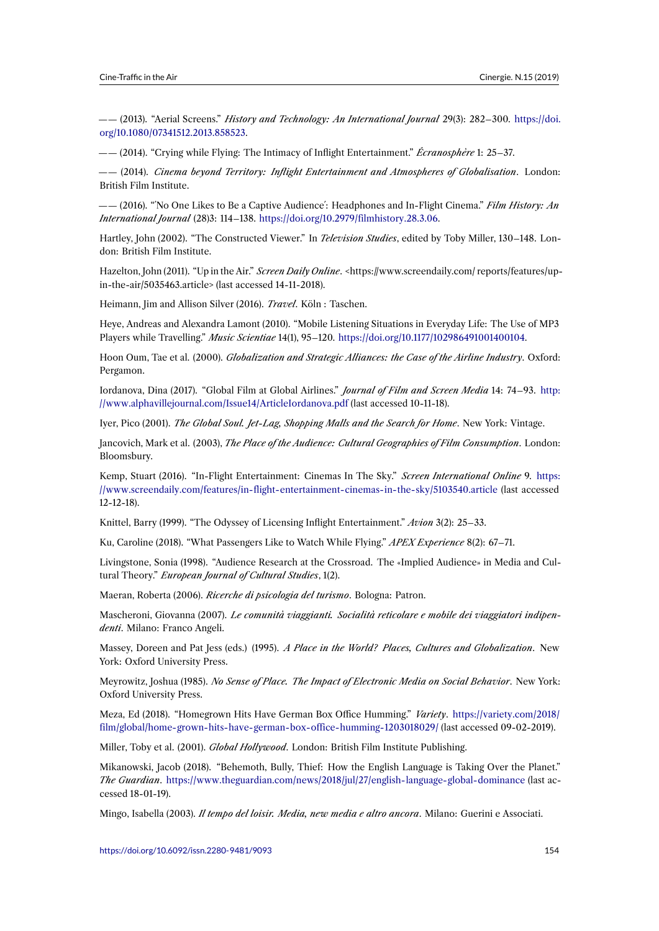—— (2013). "Aerial Screens." *History and Technology: An International Journal* 29(3): 282–300. https://doi. org/10.1080/07341512.2013.858523.

—— (2014). "Crying while Flying: The Intimacy of Inflight Entertainment." *Écranosphère* 1: 25–37.

—— (2014). *Cinema beyond Territory: Inflight Entertainment and Atmospheres of Globalisation*[. London:](https://doi.org/10.1080/07341512.2013.858523) [British Film Institute.](https://doi.org/10.1080/07341512.2013.858523)

—— (2016). "´No One Likes to Be a Captive Audience´: Headphones and In-Flight Cinema." *Film History: An International Journal* (28)3: 114–138. https://doi.org/10.2979/filmhistory.28.3.06.

Hartley, John (2002). "The Constructed Viewer." In *Television Studies*, edited by Toby Miller, 130–148. London: British Film Institute.

Hazelton, John (2011). "Up in the Air." *Screen Daily Online*[. <https://www.screenda](https://doi.org/10.2979/filmhistory.28.3.06)ily.com/ reports/features/upin-the-air/5035463.article> (last accessed 14-11-2018).

Heimann, Jim and Allison Silver (2016). *Travel*. Köln : Taschen.

Heye, Andreas and Alexandra Lamont (2010). "Mobile Listening Situations in Everyday Life: The Use of MP3 Players while Travelling." *Music Scientiae* 14(1), 95–120. https://doi.org/10.1177/102986491001400104.

Hoon Oum, Tae et al. (2000). *Globalization and Strategic Alliances: the Case of the Airline Industry*. Oxford: Pergamon.

Iordanova, Dina (2017). "Global Film at Global Airlines." *[Journal of Film and Screen Media](https://doi.org/10.1177/102986491001400104)* 14: 74–93. http: //www.alphavillejournal.com/Issue14/ArticleIordanova.pdf (last accessed 10-11-18).

Iyer, Pico (2001). *The Global Soul. Jet-Lag, Shopping Malls and the Search for Home*. New York: Vintage.

Jancovich, Mark et al. (2003), *The Place of the Audience: Cultural Geographies of Film Consumption*. Lo[ndon:](http://www.alphavillejournal.com/Issue14/ArticleIordanova.pdf) [Bloomsbury.](http://www.alphavillejournal.com/Issue14/ArticleIordanova.pdf)

Kemp, Stuart (2016). "In-Flight Entertainment: Cinemas In The Sky." *Screen International Online* 9. https: //www.screendaily.com/features/in-flight-entertainment-cinemas-in-the-sky/5103540.article (last accessed 12-12-18).

Knittel, Barry (1999). "The Odyssey of Licensing Inflight Entertainment." *Avion* 3(2): 25–33.

[Ku, Caroline \(2018\). "What Passengers Like to Watch While Flying."](https://www.screendaily.com/features/in-flight-entertainment-cinemas-in-the-sky/5103540.article) *APEX Experience* 8(2): 67–71.

Livingstone, Sonia (1998). "Audience Research at the Crossroad. The «Implied Audience» in Media and Cultural Theory." *European Journal of Cultural Studies*, 1(2).

Maeran, Roberta (2006). *Ricerche di psicologia del turismo*. Bologna: Patron.

Mascheroni, Giovanna (2007). *Le comunità viaggianti. Socialità reticolare e mobile dei viaggiatori indipendenti*. Milano: Franco Angeli.

Massey, Doreen and Pat Jess (eds.) (1995). *A Place in the World? Places, Cultures and Globalization*. New York: Oxford University Press.

Meyrowitz, Joshua (1985). *No Sense of Place. The Impact of Electronic Media on Social Behavior*. New York: Oxford University Press.

Meza, Ed (2018). "Homegrown Hits Have German Box Office Humming." *Variety*. https://variety.com/2018/ film/global/home-grown-hits-have-german-box-office-humming-1203018029/ (last accessed 09-02-2019).

Miller, Toby et al. (2001). *Global Hollywood*. London: British Film Institute Publishing.

Mikanowski, Jacob (2018). "Behemoth, Bully, Thief: How the English Language is [Taking Over the Planet."](https://variety.com/2018/film/global/home-grown-hits-have-german-box-office-humming-1203018029/) *The Guardian*. [https://www.theguardian.com/news/2018/jul/27/english-language](https://variety.com/2018/film/global/home-grown-hits-have-german-box-office-humming-1203018029/)-global-dominance (last accessed 18-01-19).

Mingo, Isabella (2003). *Il tempo del loisir. Media, new media e altro ancora*. Milano: Guerini e Associati.